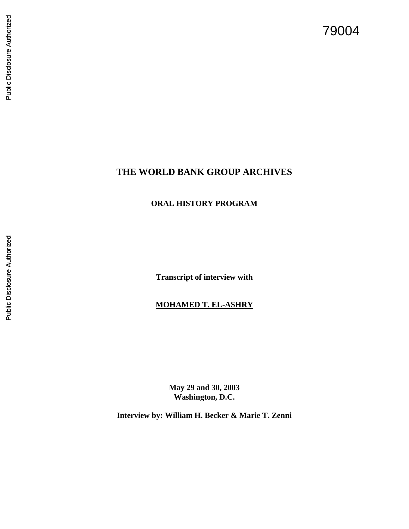# 79004

# Public Disclosure Authorized Public Disclosure Authorized

# **THE WORLD BANK GROUP ARCHIVES**

### **ORAL HISTORY PROGRAM**

**Transcript of interview with**

#### **MOHAMED T. EL -ASHRY**

**May 29 and 30, 2003 Washington, D.C.**

**Interview by: William H. Becker & Marie T. Zenni**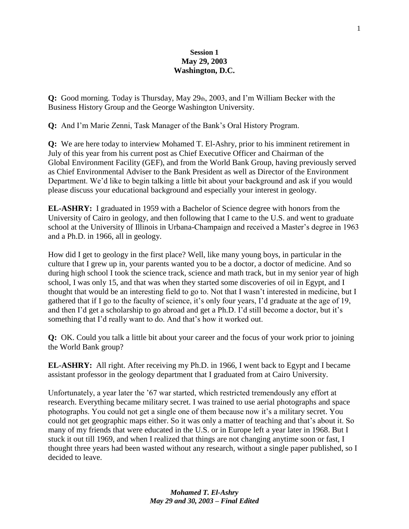#### **Session 1 May 29, 2003 Washington, D.C.**

**Q:** Good morning. Today is Thursday, May 29th, 2003, and I'm William Becker with the Business History Group and the George Washington University.

**Q:** And I'm Marie Zenni, Task Manager of the Bank's Oral History Program.

**Q:** We are here today to interview Mohamed T. El-Ashry, prior to his imminent retirement in July of this year from his current post as Chief Executive Officer and Chairman of the Global Environment Facility (GEF), and from the World Bank Group, having previously served as Chief Environmental Adviser to the Bank President as well as Director of the Environment Department. We'd like to begin talking a little bit about your background and ask if you would please discuss your educational background and especially your interest in geology.

**EL-ASHRY:** I graduated in 1959 with a Bachelor of Science degree with honors from the University of Cairo in geology, and then following that I came to the U.S. and went to graduate school at the University of Illinois in Urbana-Champaign and received a Master's degree in 1963 and a Ph.D. in 1966, all in geology.

How did I get to geology in the first place? Well, like many young boys, in particular in the culture that I grew up in, your parents wanted you to be a doctor, a doctor of medicine. And so during high school I took the science track, science and math track, but in my senior year of high school, I was only 15, and that was when they started some discoveries of oil in Egypt, and I thought that would be an interesting field to go to. Not that I wasn't interested in medicine, but I gathered that if I go to the faculty of science, it's only four years, I'd graduate at the age of 19, and then I'd get a scholarship to go abroad and get a Ph.D. I'd still become a doctor, but it's something that I'd really want to do. And that's how it worked out.

**Q:** OK. Could you talk a little bit about your career and the focus of your work prior to joining the World Bank group?

**EL-ASHRY:** All right. After receiving my Ph.D. in 1966, I went back to Egypt and I became assistant professor in the geology department that I graduated from at Cairo University.

Unfortunately, a year later the '67 war started, which restricted tremendously any effort at research. Everything became military secret. I was trained to use aerial photographs and space photographs. You could not get a single one of them because now it's a military secret. You could not get geographic maps either. So it was only a matter of teaching and that's about it. So many of my friends that were educated in the U.S. or in Europe left a year later in 1968. But I stuck it out till 1969, and when I realized that things are not changing anytime soon or fast, I thought three years had been wasted without any research, without a single paper published, so I decided to leave.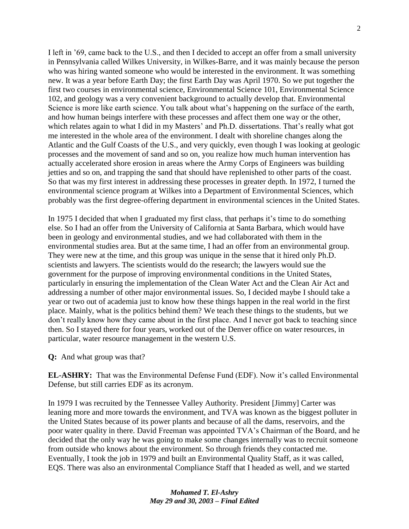I left in '69, came back to the U.S., and then I decided to accept an offer from a small university in Pennsylvania called Wilkes University, in Wilkes-Barre, and it was mainly because the person who was hiring wanted someone who would be interested in the environment. It was something new. It was a year before Earth Day; the first Earth Day was April 1970. So we put together the first two courses in environmental science, Environmental Science 101, Environmental Science 102, and geology was a very convenient background to actually develop that. Environmental Science is more like earth science. You talk about what's happening on the surface of the earth, and how human beings interfere with these processes and affect them one way or the other, which relates again to what I did in my Masters' and Ph.D. dissertations. That's really what got me interested in the whole area of the environment. I dealt with shoreline changes along the Atlantic and the Gulf Coasts of the U.S., and very quickly, even though I was looking at geologic processes and the movement of sand and so on, you realize how much human intervention has actually accelerated shore erosion in areas where the Army Corps of Engineers was building jetties and so on, and trapping the sand that should have replenished to other parts of the coast. So that was my first interest in addressing these processes in greater depth. In 1972, I turned the environmental science program at Wilkes into a Department of Environmental Sciences, which probably was the first degree-offering department in environmental sciences in the United States.

In 1975 I decided that when I graduated my first class, that perhaps it's time to do something else. So I had an offer from the University of California at Santa Barbara, which would have been in geology and environmental studies, and we had collaborated with them in the environmental studies area. But at the same time, I had an offer from an environmental group. They were new at the time, and this group was unique in the sense that it hired only Ph.D. scientists and lawyers. The scientists would do the research; the lawyers would sue the government for the purpose of improving environmental conditions in the United States, particularly in ensuring the implementation of the Clean Water Act and the Clean Air Act and addressing a number of other major environmental issues. So, I decided maybe I should take a year or two out of academia just to know how these things happen in the real world in the first place. Mainly, what is the politics behind them? We teach these things to the students, but we don't really know how they came about in the first place. And I never got back to teaching since then. So I stayed there for four years, worked out of the Denver office on water resources, in particular, water resource management in the western U.S.

**Q:** And what group was that?

**EL-ASHRY:** That was the Environmental Defense Fund (EDF). Now it's called Environmental Defense, but still carries EDF as its acronym.

In 1979 I was recruited by the Tennessee Valley Authority. President [Jimmy] Carter was leaning more and more towards the environment, and TVA was known as the biggest polluter in the United States because of its power plants and because of all the dams, reservoirs, and the poor water quality in there. David Freeman was appointed TVA's Chairman of the Board, and he decided that the only way he was going to make some changes internally was to recruit someone from outside who knows about the environment. So through friends they contacted me. Eventually, I took the job in 1979 and built an Environmental Quality Staff, as it was called, EQS. There was also an environmental Compliance Staff that I headed as well, and we started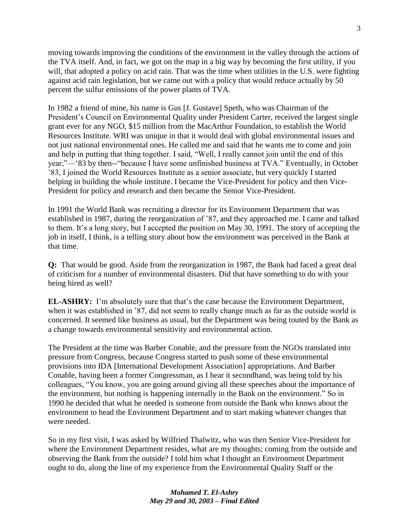moving towards improving the conditions of the environment in the valley through the actions of the TVA itself. And, in fact, we got on the map in a big way by becoming the first utility, if you will, that adopted a policy on acid rain. That was the time when utilities in the U.S. were fighting against acid rain legislation, but we came out with a policy that would reduce actually by 50 percent the sulfur emissions of the power plants of TVA.

In 1982 a friend of mine, his name is Gus [J. Gustave] Speth, who was Chairman of the President's Council on Environmental Quality under President Carter, received the largest single grant ever for any NGO, \$15 million from the MacArthur Foundation, to establish the World Resources Institute. WRI was unique in that it would deal with global environmental issues and not just national environmental ones. He called me and said that he wants me to come and join and help in putting that thing together. I said, "Well, I really cannot join until the end of this year,"—'83 by then--"because I have some unfinished business at TVA." Eventually, in October '83, I joined the World Resources Institute as a senior associate, but very quickly I started helping in building the whole institute. I became the Vice-President for policy and then Vice-President for policy and research and then became the Senior Vice-President.

In 1991 the World Bank was recruiting a director for its Environment Department that was established in 1987, during the reorganization of '87, and they approached me. I came and talked to them. It's a long story, but I accepted the position on May 30, 1991. The story of accepting the job in itself, I think, is a telling story about how the environment was perceived in the Bank at that time.

**Q:** That would be good. Aside from the reorganization in 1987, the Bank had faced a great deal of criticism for a number of environmental disasters. Did that have something to do with your being hired as well?

**EL-ASHRY:** I'm absolutely sure that that's the case because the Environment Department, when it was established in '87, did not seem to really change much as far as the outside world is concerned. It seemed like business as usual, but the Department was being touted by the Bank as a change towards environmental sensitivity and environmental action.

The President at the time was Barber Conable, and the pressure from the NGOs translated into pressure from Congress, because Congress started to push some of these environmental provisions into IDA [International Development Association] appropriations. And Barber Conable, having been a former Congressman, as I hear it secondhand, was being told by his colleagues, "You know, you are going around giving all these speeches about the importance of the environment, but nothing is happening internally in the Bank on the environment." So in 1990 he decided that what he needed is someone from outside the Bank who knows about the environment to head the Environment Department and to start making whatever changes that were needed.

So in my first visit, I was asked by Wilfried Thalwitz, who was then Senior Vice-President for where the Environment Department resides, what are my thoughts; coming from the outside and observing the Bank from the outside? I told him what I thought an Environment Department ought to do, along the line of my experience from the Environmental Quality Staff or the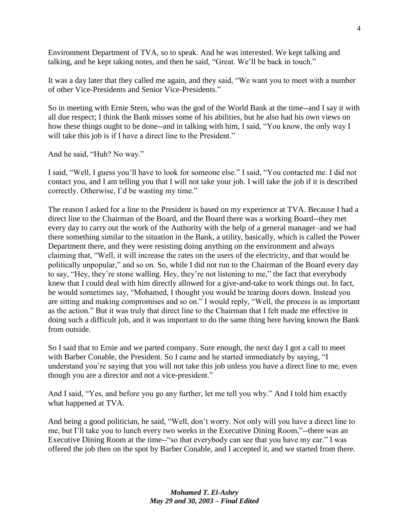Environment Department of TVA, so to speak. And he was interested. We kept talking and talking, and he kept taking notes, and then he said, "Great. We'll be back in touch."

It was a day later that they called me again, and they said, "We want you to meet with a number of other Vice-Presidents and Senior Vice-Presidents."

So in meeting with Ernie Stern, who was the god of the World Bank at the time--and I say it with all due respect; I think the Bank misses some of his abilities, but he also had his own views on how these things ought to be done--and in talking with him, I said, "You know, the only way I will take this job is if I have a direct line to the President."

And he said, "Huh? No way."

I said, "Well, I guess you'll have to look for someone else." I said, "You contacted me. I did not contact you, and I am telling you that I will not take your job. I will take the job if it is described correctly. Otherwise, I'd be wasting my time."

The reason I asked for a line to the President is based on my experience at TVA. Because I had a direct line to the Chairman of the Board, and the Board there was a working Board--they met every day to carry out the work of the Authority with the help of a general manager–and we had there something similar to the situation in the Bank, a utility, basically, which is called the Power Department there, and they were resisting doing anything on the environment and always claiming that, "Well, it will increase the rates on the users of the electricity, and that would be politically unpopular," and so on. So, while I did not run to the Chairman of the Board every day to say, "Hey, they're stone walling. Hey, they're not listening to me," the fact that everybody knew that I could deal with him directly allowed for a give-and-take to work things out. In fact, he would sometimes say, "Mohamed, I thought you would be tearing doors down. Instead you are sitting and making compromises and so on." I would reply, "Well, the process is as important as the action." But it was truly that direct line to the Chairman that I felt made me effective in doing such a difficult job, and it was important to do the same thing here having known the Bank from outside.

So I said that to Ernie and we parted company. Sure enough, the next day I got a call to meet with Barber Conable, the President. So I came and he started immediately by saying, "I understand you're saying that you will not take this job unless you have a direct line to me, even though you are a director and not a vice-president."

And I said, "Yes, and before you go any further, let me tell you why." And I told him exactly what happened at TVA.

And being a good politician, he said, "Well, don't worry. Not only will you have a direct line to me, but I'll take you to lunch every two weeks in the Executive Dining Room,"--there was an Executive Dining Room at the time--"so that everybody can see that you have my ear." I was offered the job then on the spot by Barber Conable, and I accepted it, and we started from there.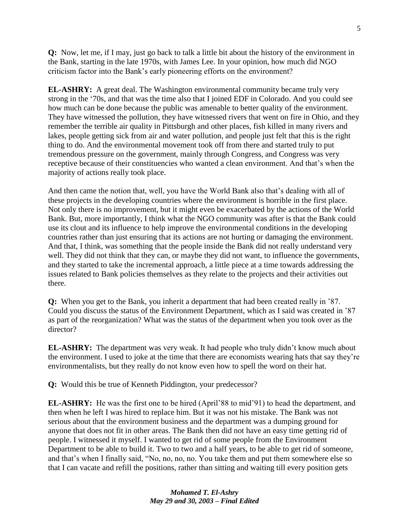**Q:** Now, let me, if I may, just go back to talk a little bit about the history of the environment in the Bank, starting in the late 1970s, with James Lee. In your opinion, how much did NGO criticism factor into the Bank's early pioneering efforts on the environment?

**EL-ASHRY:** A great deal. The Washington environmental community became truly very strong in the '70s, and that was the time also that I joined EDF in Colorado. And you could see how much can be done because the public was amenable to better quality of the environment. They have witnessed the pollution, they have witnessed rivers that went on fire in Ohio, and they remember the terrible air quality in Pittsburgh and other places, fish killed in many rivers and lakes, people getting sick from air and water pollution, and people just felt that this is the right thing to do. And the environmental movement took off from there and started truly to put tremendous pressure on the government, mainly through Congress, and Congress was very receptive because of their constituencies who wanted a clean environment. And that's when the majority of actions really took place.

And then came the notion that, well, you have the World Bank also that's dealing with all of these projects in the developing countries where the environment is horrible in the first place. Not only there is no improvement, but it might even be exacerbated by the actions of the World Bank. But, more importantly, I think what the NGO community was after is that the Bank could use its clout and its influence to help improve the environmental conditions in the developing countries rather than just ensuring that its actions are not hurting or damaging the environment. And that, I think, was something that the people inside the Bank did not really understand very well. They did not think that they can, or maybe they did not want, to influence the governments, and they started to take the incremental approach, a little piece at a time towards addressing the issues related to Bank policies themselves as they relate to the projects and their activities out there.

**Q:** When you get to the Bank, you inherit a department that had been created really in '87. Could you discuss the status of the Environment Department, which as I said was created in '87 as part of the reorganization? What was the status of the department when you took over as the director?

**EL-ASHRY:** The department was very weak. It had people who truly didn't know much about the environment. I used to joke at the time that there are economists wearing hats that say they're environmentalists, but they really do not know even how to spell the word on their hat.

**Q:** Would this be true of Kenneth Piddington, your predecessor?

**EL-ASHRY:** He was the first one to be hired (April'88 to mid'91) to head the department, and then when he left I was hired to replace him. But it was not his mistake. The Bank was not serious about that the environment business and the department was a dumping ground for anyone that does not fit in other areas. The Bank then did not have an easy time getting rid of people. I witnessed it myself. I wanted to get rid of some people from the Environment Department to be able to build it. Two to two and a half years, to be able to get rid of someone, and that's when I finally said, "No, no, no, no. You take them and put them somewhere else so that I can vacate and refill the positions, rather than sitting and waiting till every position gets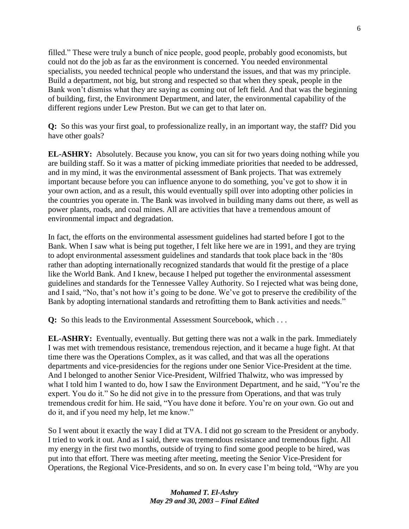filled." These were truly a bunch of nice people, good people, probably good economists, but could not do the job as far as the environment is concerned. You needed environmental specialists, you needed technical people who understand the issues, and that was my principle. Build a department, not big, but strong and respected so that when they speak, people in the Bank won't dismiss what they are saying as coming out of left field. And that was the beginning of building, first, the Environment Department, and later, the environmental capability of the different regions under Lew Preston. But we can get to that later on.

**Q:** So this was your first goal, to professionalize really, in an important way, the staff? Did you have other goals?

**EL-ASHRY:** Absolutely. Because you know, you can sit for two years doing nothing while you are building staff. So it was a matter of picking immediate priorities that needed to be addressed, and in my mind, it was the environmental assessment of Bank projects. That was extremely important because before you can influence anyone to do something, you've got to show it in your own action, and as a result, this would eventually spill over into adopting other policies in the countries you operate in. The Bank was involved in building many dams out there, as well as power plants, roads, and coal mines. All are activities that have a tremendous amount of environmental impact and degradation.

In fact, the efforts on the environmental assessment guidelines had started before I got to the Bank. When I saw what is being put together, I felt like here we are in 1991, and they are trying to adopt environmental assessment guidelines and standards that took place back in the '80s rather than adopting internationally recognized standards that would fit the prestige of a place like the World Bank. And I knew, because I helped put together the environmental assessment guidelines and standards for the Tennessee Valley Authority. So I rejected what was being done, and I said, "No, that's not how it's going to be done. We've got to preserve the credibility of the Bank by adopting international standards and retrofitting them to Bank activities and needs."

**Q:** So this leads to the Environmental Assessment Sourcebook, which . . .

**EL-ASHRY:** Eventually, eventually. But getting there was not a walk in the park. Immediately I was met with tremendous resistance, tremendous rejection, and it became a huge fight. At that time there was the Operations Complex, as it was called, and that was all the operations departments and vice-presidencies for the regions under one Senior Vice-President at the time. And I belonged to another Senior Vice-President, Wilfried Thalwitz, who was impressed by what I told him I wanted to do, how I saw the Environment Department, and he said, "You're the expert. You do it." So he did not give in to the pressure from Operations, and that was truly tremendous credit for him. He said, "You have done it before. You're on your own. Go out and do it, and if you need my help, let me know."

So I went about it exactly the way I did at TVA. I did not go scream to the President or anybody. I tried to work it out. And as I said, there was tremendous resistance and tremendous fight. All my energy in the first two months, outside of trying to find some good people to be hired, was put into that effort. There was meeting after meeting, meeting the Senior Vice-President for Operations, the Regional Vice-Presidents, and so on. In every case I'm being told, "Why are you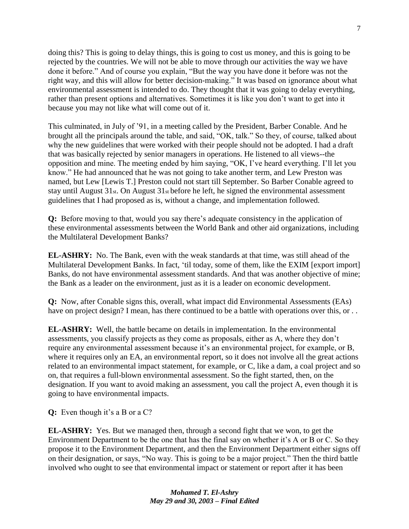doing this? This is going to delay things, this is going to cost us money, and this is going to be rejected by the countries. We will not be able to move through our activities the way we have done it before." And of course you explain, "But the way you have done it before was not the right way, and this will allow for better decision-making." It was based on ignorance about what environmental assessment is intended to do. They thought that it was going to delay everything, rather than present options and alternatives. Sometimes it is like you don't want to get into it because you may not like what will come out of it.

This culminated, in July of '91, in a meeting called by the President, Barber Conable. And he brought all the principals around the table, and said, "OK, talk." So they, of course, talked about why the new guidelines that were worked with their people should not be adopted. I had a draft that was basically rejected by senior managers in operations. He listened to all views--the opposition and mine. The meeting ended by him saying, "OK, I've heard everything. I'll let you know." He had announced that he was not going to take another term, and Lew Preston was named, but Lew [Lewis T.] Preston could not start till September. So Barber Conable agreed to stay until August 31st. On August 31st before he left, he signed the environmental assessment guidelines that I had proposed as is, without a change, and implementation followed.

**Q:** Before moving to that, would you say there's adequate consistency in the application of these environmental assessments between the World Bank and other aid organizations, including the Multilateral Development Banks?

**EL-ASHRY:** No. The Bank, even with the weak standards at that time, was still ahead of the Multilateral Development Banks. In fact, 'til today, some of them, like the EXIM [export import] Banks, do not have environmental assessment standards. And that was another objective of mine; the Bank as a leader on the environment, just as it is a leader on economic development.

**Q:** Now, after Conable signs this, overall, what impact did Environmental Assessments (EAs) have on project design? I mean, has there continued to be a battle with operations over this, or . .

**EL-ASHRY:** Well, the battle became on details in implementation. In the environmental assessments, you classify projects as they come as proposals, either as A, where they don't require any environmental assessment because it's an environmental project, for example, or B, where it requires only an EA, an environmental report, so it does not involve all the great actions related to an environmental impact statement, for example, or C, like a dam, a coal project and so on, that requires a full-blown environmental assessment. So the fight started, then, on the designation. If you want to avoid making an assessment, you call the project A, even though it is going to have environmental impacts.

**Q:** Even though it's a B or a C?

**EL-ASHRY:** Yes. But we managed then, through a second fight that we won, to get the Environment Department to be the one that has the final say on whether it's A or B or C. So they propose it to the Environment Department, and then the Environment Department either signs off on their designation, or says, "No way. This is going to be a major project." Then the third battle involved who ought to see that environmental impact or statement or report after it has been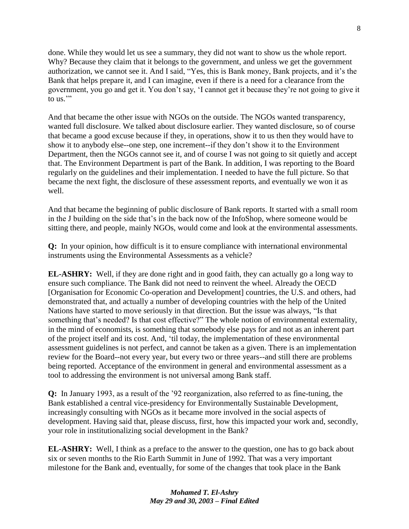done. While they would let us see a summary, they did not want to show us the whole report. Why? Because they claim that it belongs to the government, and unless we get the government authorization, we cannot see it. And I said, "Yes, this is Bank money, Bank projects, and it's the Bank that helps prepare it, and I can imagine, even if there is a need for a clearance from the government, you go and get it. You don't say, ‗I cannot get it because they're not going to give it to us."

And that became the other issue with NGOs on the outside. The NGOs wanted transparency, wanted full disclosure. We talked about disclosure earlier. They wanted disclosure, so of course that became a good excuse because if they, in operations, show it to us then they would have to show it to anybody else--one step, one increment--if they don't show it to the Environment Department, then the NGOs cannot see it, and of course I was not going to sit quietly and accept that. The Environment Department is part of the Bank. In addition, I was reporting to the Board regularly on the guidelines and their implementation. I needed to have the full picture. So that became the next fight, the disclosure of these assessment reports, and eventually we won it as well.

And that became the beginning of public disclosure of Bank reports. It started with a small room in the J building on the side that's in the back now of the InfoShop, where someone would be sitting there, and people, mainly NGOs, would come and look at the environmental assessments.

**Q:** In your opinion, how difficult is it to ensure compliance with international environmental instruments using the Environmental Assessments as a vehicle?

**EL-ASHRY:** Well, if they are done right and in good faith, they can actually go a long way to ensure such compliance. The Bank did not need to reinvent the wheel. Already the OECD [Organisation for Economic Co-operation and Development] countries, the U.S. and others, had demonstrated that, and actually a number of developing countries with the help of the United Nations have started to move seriously in that direction. But the issue was always, "Is that something that's needed? Is that cost effective?" The whole notion of environmental externality, in the mind of economists, is something that somebody else pays for and not as an inherent part of the project itself and its cost. And, ‗til today, the implementation of these environmental assessment guidelines is not perfect, and cannot be taken as a given. There is an implementation review for the Board--not every year, but every two or three years--and still there are problems being reported. Acceptance of the environment in general and environmental assessment as a tool to addressing the environment is not universal among Bank staff.

**Q:** In January 1993, as a result of the '92 reorganization, also referred to as fine-tuning, the Bank established a central vice-presidency for Environmentally Sustainable Development, increasingly consulting with NGOs as it became more involved in the social aspects of development. Having said that, please discuss, first, how this impacted your work and, secondly, your role in institutionalizing social development in the Bank?

**EL-ASHRY:** Well, I think as a preface to the answer to the question, one has to go back about six or seven months to the Rio Earth Summit in June of 1992. That was a very important milestone for the Bank and, eventually, for some of the changes that took place in the Bank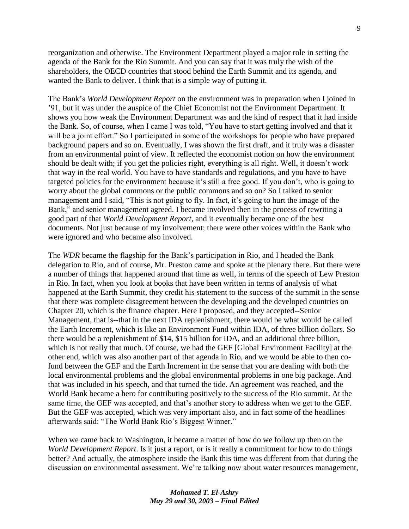reorganization and otherwise. The Environment Department played a major role in setting the agenda of the Bank for the Rio Summit. And you can say that it was truly the wish of the shareholders, the OECD countries that stood behind the Earth Summit and its agenda, and wanted the Bank to deliver. I think that is a simple way of putting it.

The Bank's *World Development Report* on the environment was in preparation when I joined in '91, but it was under the auspice of the Chief Economist not the Environment Department. It shows you how weak the Environment Department was and the kind of respect that it had inside the Bank. So, of course, when I came I was told, "You have to start getting involved and that it will be a joint effort." So I participated in some of the workshops for people who have prepared background papers and so on. Eventually, I was shown the first draft, and it truly was a disaster from an environmental point of view. It reflected the economist notion on how the environment should be dealt with; if you get the policies right, everything is all right. Well, it doesn't work that way in the real world. You have to have standards and regulations, and you have to have targeted policies for the environment because it's still a free good. If you don't, who is going to worry about the global commons or the public commons and so on? So I talked to senior management and I said, "This is not going to fly. In fact, it's going to hurt the image of the Bank," and senior management agreed. I became involved then in the process of rewriting a good part of that *World Development Report*, and it eventually became one of the best documents. Not just because of my involvement; there were other voices within the Bank who were ignored and who became also involved.

The *WDR* became the flagship for the Bank's participation in Rio, and I headed the Bank delegation to Rio, and of course, Mr. Preston came and spoke at the plenary there. But there were a number of things that happened around that time as well, in terms of the speech of Lew Preston in Rio. In fact, when you look at books that have been written in terms of analysis of what happened at the Earth Summit, they credit his statement to the success of the summit in the sense that there was complete disagreement between the developing and the developed countries on Chapter 20, which is the finance chapter. Here I proposed, and they accepted--Senior Management, that is--that in the next IDA replenishment, there would be what would be called the Earth Increment, which is like an Environment Fund within IDA, of three billion dollars. So there would be a replenishment of \$14, \$15 billion for IDA, and an additional three billion, which is not really that much. Of course, we had the GEF [Global Environment Facility] at the other end, which was also another part of that agenda in Rio, and we would be able to then cofund between the GEF and the Earth Increment in the sense that you are dealing with both the local environmental problems and the global environmental problems in one big package. And that was included in his speech, and that turned the tide. An agreement was reached, and the World Bank became a hero for contributing positively to the success of the Rio summit. At the same time, the GEF was accepted, and that's another story to address when we get to the GEF. But the GEF was accepted, which was very important also, and in fact some of the headlines afterwards said: "The World Bank Rio's Biggest Winner."

When we came back to Washington, it became a matter of how do we follow up then on the *World Development Report*. Is it just a report, or is it really a commitment for how to do things better? And actually, the atmosphere inside the Bank this time was different from that during the discussion on environmental assessment. We're talking now about water resources management,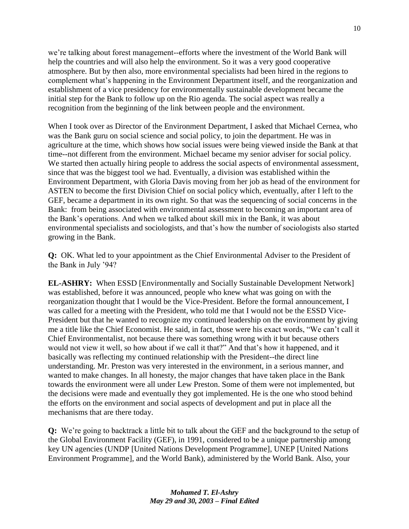we're talking about forest management--efforts where the investment of the World Bank will help the countries and will also help the environment. So it was a very good cooperative atmosphere. But by then also, more environmental specialists had been hired in the regions to complement what's happening in the Environment Department itself, and the reorganization and establishment of a vice presidency for environmentally sustainable development became the initial step for the Bank to follow up on the Rio agenda. The social aspect was really a recognition from the beginning of the link between people and the environment.

When I took over as Director of the Environment Department, I asked that Michael Cernea, who was the Bank guru on social science and social policy, to join the department. He was in agriculture at the time, which shows how social issues were being viewed inside the Bank at that time--not different from the environment. Michael became my senior adviser for social policy. We started then actually hiring people to address the social aspects of environmental assessment, since that was the biggest tool we had. Eventually, a division was established within the Environment Department, with Gloria Davis moving from her job as head of the environment for ASTEN to become the first Division Chief on social policy which, eventually, after I left to the GEF, became a department in its own right. So that was the sequencing of social concerns in the Bank: from being associated with environmental assessment to becoming an important area of the Bank's operations. And when we talked about skill mix in the Bank, it was about environmental specialists and sociologists, and that's how the number of sociologists also started growing in the Bank.

**Q:** OK. What led to your appointment as the Chief Environmental Adviser to the President of the Bank in July '94?

**EL-ASHRY:** When ESSD [Environmentally and Socially Sustainable Development Network] was established, before it was announced, people who knew what was going on with the reorganization thought that I would be the Vice-President. Before the formal announcement, I was called for a meeting with the President, who told me that I would not be the ESSD Vice-President but that he wanted to recognize my continued leadership on the environment by giving me a title like the Chief Economist. He said, in fact, those were his exact words, "We can't call it Chief Environmentalist, not because there was something wrong with it but because others would not view it well, so how about if we call it that?" And that's how it happened, and it basically was reflecting my continued relationship with the President--the direct line understanding. Mr. Preston was very interested in the environment, in a serious manner, and wanted to make changes. In all honesty, the major changes that have taken place in the Bank towards the environment were all under Lew Preston. Some of them were not implemented, but the decisions were made and eventually they got implemented. He is the one who stood behind the efforts on the environment and social aspects of development and put in place all the mechanisms that are there today.

**Q:** We're going to backtrack a little bit to talk about the GEF and the background to the setup of the Global Environment Facility (GEF), in 1991, considered to be a unique partnership among key UN agencies (UNDP [United Nations Development Programme], UNEP [United Nations Environment Programme], and the World Bank), administered by the World Bank. Also, your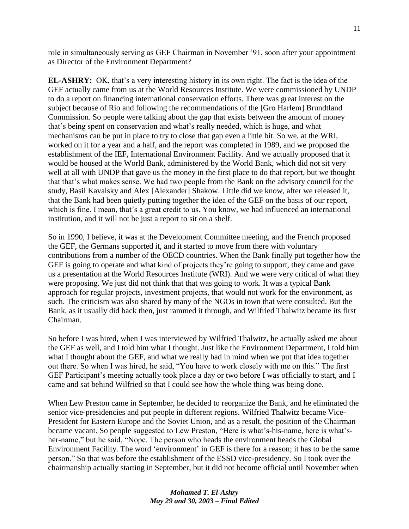role in simultaneously serving as GEF Chairman in November '91, soon after your appointment as Director of the Environment Department?

**EL-ASHRY:** OK, that's a very interesting history in its own right. The fact is the idea of the GEF actually came from us at the World Resources Institute. We were commissioned by UNDP to do a report on financing international conservation efforts. There was great interest on the subject because of Rio and following the recommendations of the [Gro Harlem] Brundtland Commission. So people were talking about the gap that exists between the amount of money that's being spent on conservation and what's really needed, which is huge, and what mechanisms can be put in place to try to close that gap even a little bit. So we, at the WRI, worked on it for a year and a half, and the report was completed in 1989, and we proposed the establishment of the IEF, International Environment Facility. And we actually proposed that it would be housed at the World Bank, administered by the World Bank, which did not sit very well at all with UNDP that gave us the money in the first place to do that report, but we thought that that's what makes sense. We had two people from the Bank on the advisory council for the study, Basil Kavalsky and Alex [Alexander] Shakow. Little did we know, after we released it, that the Bank had been quietly putting together the idea of the GEF on the basis of our report, which is fine. I mean, that's a great credit to us. You know, we had influenced an international institution, and it will not be just a report to sit on a shelf.

So in 1990, I believe, it was at the Development Committee meeting, and the French proposed the GEF, the Germans supported it, and it started to move from there with voluntary contributions from a number of the OECD countries. When the Bank finally put together how the GEF is going to operate and what kind of projects they're going to support, they came and gave us a presentation at the World Resources Institute (WRI). And we were very critical of what they were proposing. We just did not think that that was going to work. It was a typical Bank approach for regular projects, investment projects, that would not work for the environment, as such. The criticism was also shared by many of the NGOs in town that were consulted. But the Bank, as it usually did back then, just rammed it through, and Wilfried Thalwitz became its first Chairman.

So before I was hired, when I was interviewed by Wilfried Thalwitz, he actually asked me about the GEF as well, and I told him what I thought. Just like the Environment Department, I told him what I thought about the GEF, and what we really had in mind when we put that idea together out there. So when I was hired, he said, "You have to work closely with me on this." The first GEF Participant's meeting actually took place a day or two before I was officially to start, and I came and sat behind Wilfried so that I could see how the whole thing was being done.

When Lew Preston came in September, he decided to reorganize the Bank, and he eliminated the senior vice-presidencies and put people in different regions. Wilfried Thalwitz became Vice-President for Eastern Europe and the Soviet Union, and as a result, the position of the Chairman became vacant. So people suggested to Lew Preston, "Here is what's-his-name, here is what'sher-name," but he said, "Nope. The person who heads the environment heads the Global Environment Facility. The word 'environment' in GEF is there for a reason; it has to be the same person.‖ So that was before the establishment of the ESSD vice-presidency. So I took over the chairmanship actually starting in September, but it did not become official until November when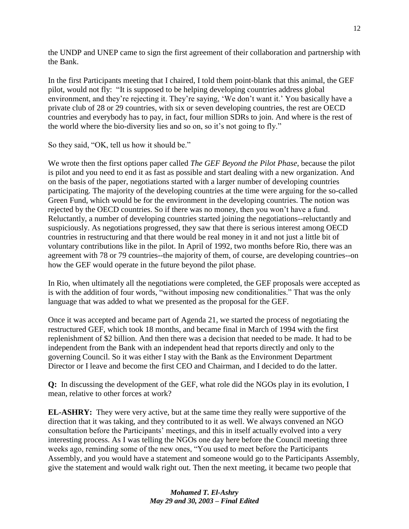the UNDP and UNEP came to sign the first agreement of their collaboration and partnership with the Bank.

In the first Participants meeting that I chaired, I told them point-blank that this animal, the GEF pilot, would not fly: "It is supposed to be helping developing countries address global environment, and they're rejecting it. They're saying, 'We don't want it.' You basically have a private club of 28 or 29 countries, with six or seven developing countries, the rest are OECD countries and everybody has to pay, in fact, four million SDRs to join. And where is the rest of the world where the bio-diversity lies and so on, so it's not going to fly."

So they said, "OK, tell us how it should be."

We wrote then the first options paper called *The GEF Beyond the Pilot Phase*, because the pilot is pilot and you need to end it as fast as possible and start dealing with a new organization. And on the basis of the paper, negotiations started with a larger number of developing countries participating. The majority of the developing countries at the time were arguing for the so-called Green Fund, which would be for the environment in the developing countries. The notion was rejected by the OECD countries. So if there was no money, then you won't have a fund. Reluctantly, a number of developing countries started joining the negotiations--reluctantly and suspiciously. As negotiations progressed, they saw that there is serious interest among OECD countries in restructuring and that there would be real money in it and not just a little bit of voluntary contributions like in the pilot. In April of 1992, two months before Rio, there was an agreement with 78 or 79 countries--the majority of them, of course, are developing countries--on how the GEF would operate in the future beyond the pilot phase.

In Rio, when ultimately all the negotiations were completed, the GEF proposals were accepted as is with the addition of four words, "without imposing new conditionalities." That was the only language that was added to what we presented as the proposal for the GEF.

Once it was accepted and became part of Agenda 21, we started the process of negotiating the restructured GEF, which took 18 months, and became final in March of 1994 with the first replenishment of \$2 billion. And then there was a decision that needed to be made. It had to be independent from the Bank with an independent head that reports directly and only to the governing Council. So it was either I stay with the Bank as the Environment Department Director or I leave and become the first CEO and Chairman, and I decided to do the latter.

**Q:** In discussing the development of the GEF, what role did the NGOs play in its evolution, I mean, relative to other forces at work?

**EL-ASHRY:** They were very active, but at the same time they really were supportive of the direction that it was taking, and they contributed to it as well. We always convened an NGO consultation before the Participants' meetings, and this in itself actually evolved into a very interesting process. As I was telling the NGOs one day here before the Council meeting three weeks ago, reminding some of the new ones, "You used to meet before the Participants" Assembly, and you would have a statement and someone would go to the Participants Assembly, give the statement and would walk right out. Then the next meeting, it became two people that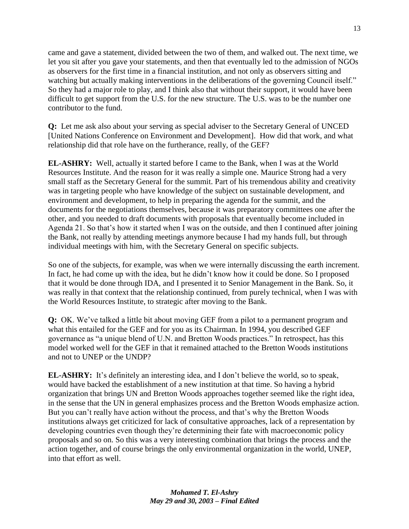came and gave a statement, divided between the two of them, and walked out. The next time, we let you sit after you gave your statements, and then that eventually led to the admission of NGOs as observers for the first time in a financial institution, and not only as observers sitting and watching but actually making interventions in the deliberations of the governing Council itself." So they had a major role to play, and I think also that without their support, it would have been difficult to get support from the U.S. for the new structure. The U.S. was to be the number one contributor to the fund.

**Q:** Let me ask also about your serving as special adviser to the Secretary General of UNCED [United Nations Conference on Environment and Development]. How did that work, and what relationship did that role have on the furtherance, really, of the GEF?

**EL-ASHRY:** Well, actually it started before I came to the Bank, when I was at the World Resources Institute. And the reason for it was really a simple one. Maurice Strong had a very small staff as the Secretary General for the summit. Part of his tremendous ability and creativity was in targeting people who have knowledge of the subject on sustainable development, and environment and development, to help in preparing the agenda for the summit, and the documents for the negotiations themselves, because it was preparatory committees one after the other, and you needed to draft documents with proposals that eventually become included in Agenda 21. So that's how it started when I was on the outside, and then I continued after joining the Bank, not really by attending meetings anymore because I had my hands full, but through individual meetings with him, with the Secretary General on specific subjects.

So one of the subjects, for example, was when we were internally discussing the earth increment. In fact, he had come up with the idea, but he didn't know how it could be done. So I proposed that it would be done through IDA, and I presented it to Senior Management in the Bank. So, it was really in that context that the relationship continued, from purely technical, when I was with the World Resources Institute, to strategic after moving to the Bank.

**Q:** OK. We've talked a little bit about moving GEF from a pilot to a permanent program and what this entailed for the GEF and for you as its Chairman. In 1994, you described GEF governance as "a unique blend of U.N. and Bretton Woods practices." In retrospect, has this model worked well for the GEF in that it remained attached to the Bretton Woods institutions and not to UNEP or the UNDP?

**EL-ASHRY:** It's definitely an interesting idea, and I don't believe the world, so to speak, would have backed the establishment of a new institution at that time. So having a hybrid organization that brings UN and Bretton Woods approaches together seemed like the right idea, in the sense that the UN in general emphasizes process and the Bretton Woods emphasize action. But you can't really have action without the process, and that's why the Bretton Woods institutions always get criticized for lack of consultative approaches, lack of a representation by developing countries even though they're determining their fate with macroeconomic policy proposals and so on. So this was a very interesting combination that brings the process and the action together, and of course brings the only environmental organization in the world, UNEP, into that effort as well.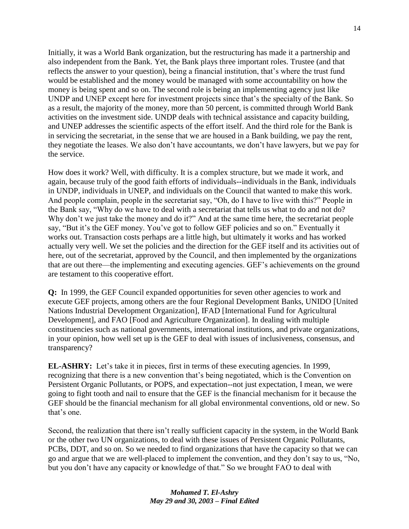Initially, it was a World Bank organization, but the restructuring has made it a partnership and also independent from the Bank. Yet, the Bank plays three important roles. Trustee (and that reflects the answer to your question), being a financial institution, that's where the trust fund would be established and the money would be managed with some accountability on how the money is being spent and so on. The second role is being an implementing agency just like UNDP and UNEP except here for investment projects since that's the specialty of the Bank. So as a result, the majority of the money, more than 50 percent, is committed through World Bank activities on the investment side. UNDP deals with technical assistance and capacity building, and UNEP addresses the scientific aspects of the effort itself. And the third role for the Bank is in servicing the secretariat, in the sense that we are housed in a Bank building, we pay the rent, they negotiate the leases. We also don't have accountants, we don't have lawyers, but we pay for the service.

How does it work? Well, with difficulty. It is a complex structure, but we made it work, and again, because truly of the good faith efforts of individuals--individuals in the Bank, individuals in UNDP, individuals in UNEP, and individuals on the Council that wanted to make this work. And people complain, people in the secretariat say, "Oh, do I have to live with this?" People in the Bank say, "Why do we have to deal with a secretariat that tells us what to do and not do? Why don't we just take the money and do it?" And at the same time here, the secretariat people say, "But it's the GEF money. You've got to follow GEF policies and so on." Eventually it works out. Transaction costs perhaps are a little high, but ultimately it works and has worked actually very well. We set the policies and the direction for the GEF itself and its activities out of here, out of the secretariat, approved by the Council, and then implemented by the organizations that are out there—the implementing and executing agencies. GEF's achievements on the ground are testament to this cooperative effort.

**Q:** In 1999, the GEF Council expanded opportunities for seven other agencies to work and execute GEF projects, among others are the four Regional Development Banks, UNIDO [United Nations Industrial Development Organization], IFAD [International Fund for Agricultural Development], and FAO [Food and Agriculture Organization]. In dealing with multiple constituencies such as national governments, international institutions, and private organizations, in your opinion, how well set up is the GEF to deal with issues of inclusiveness, consensus, and transparency?

**EL-ASHRY:** Let's take it in pieces, first in terms of these executing agencies. In 1999, recognizing that there is a new convention that's being negotiated, which is the Convention on Persistent Organic Pollutants, or POPS, and expectation--not just expectation, I mean, we were going to fight tooth and nail to ensure that the GEF is the financial mechanism for it because the GEF should be the financial mechanism for all global environmental conventions, old or new. So that's one.

Second, the realization that there isn't really sufficient capacity in the system, in the World Bank or the other two UN organizations, to deal with these issues of Persistent Organic Pollutants, PCBs, DDT, and so on. So we needed to find organizations that have the capacity so that we can go and argue that we are well-placed to implement the convention, and they don't say to us, "No, but you don't have any capacity or knowledge of that." So we brought FAO to deal with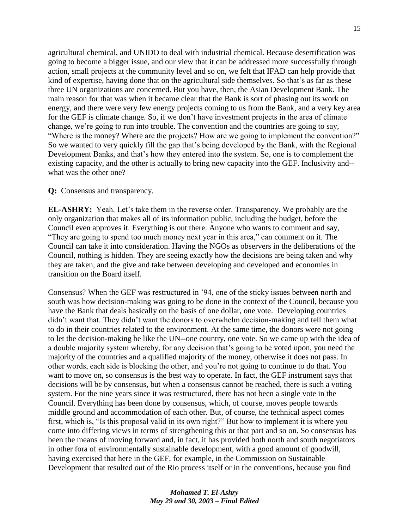agricultural chemical, and UNIDO to deal with industrial chemical. Because desertification was going to become a bigger issue, and our view that it can be addressed more successfully through action, small projects at the community level and so on, we felt that IFAD can help provide that kind of expertise, having done that on the agricultural side themselves. So that's as far as these three UN organizations are concerned. But you have, then, the Asian Development Bank. The main reason for that was when it became clear that the Bank is sort of phasing out its work on energy, and there were very few energy projects coming to us from the Bank, and a very key area for the GEF is climate change. So, if we don't have investment projects in the area of climate change, we're going to run into trouble. The convention and the countries are going to say, "Where is the money? Where are the projects? How are we going to implement the convention?" So we wanted to very quickly fill the gap that's being developed by the Bank, with the Regional Development Banks, and that's how they entered into the system. So, one is to complement the existing capacity, and the other is actually to bring new capacity into the GEF. Inclusivity and- what was the other one?

#### **Q:** Consensus and transparency.

**EL-ASHRY:** Yeah. Let's take them in the reverse order. Transparency. We probably are the only organization that makes all of its information public, including the budget, before the Council even approves it. Everything is out there. Anyone who wants to comment and say, "They are going to spend too much money next year in this area," can comment on it. The Council can take it into consideration. Having the NGOs as observers in the deliberations of the Council, nothing is hidden. They are seeing exactly how the decisions are being taken and why they are taken, and the give and take between developing and developed and economies in transition on the Board itself.

Consensus? When the GEF was restructured in '94, one of the sticky issues between north and south was how decision-making was going to be done in the context of the Council, because you have the Bank that deals basically on the basis of one dollar, one vote. Developing countries didn't want that. They didn't want the donors to overwhelm decision-making and tell them what to do in their countries related to the environment. At the same time, the donors were not going to let the decision-making be like the UN--one country, one vote. So we came up with the idea of a double majority system whereby, for any decision that's going to be voted upon, you need the majority of the countries and a qualified majority of the money, otherwise it does not pass. In other words, each side is blocking the other, and you're not going to continue to do that. You want to move on, so consensus is the best way to operate. In fact, the GEF instrument says that decisions will be by consensus, but when a consensus cannot be reached, there is such a voting system. For the nine years since it was restructured, there has not been a single vote in the Council. Everything has been done by consensus, which, of course, moves people towards middle ground and accommodation of each other. But, of course, the technical aspect comes first, which is, "Is this proposal valid in its own right?" But how to implement it is where you come into differing views in terms of strengthening this or that part and so on. So consensus has been the means of moving forward and, in fact, it has provided both north and south negotiators in other fora of environmentally sustainable development, with a good amount of goodwill, having exercised that here in the GEF, for example, in the Commission on Sustainable Development that resulted out of the Rio process itself or in the conventions, because you find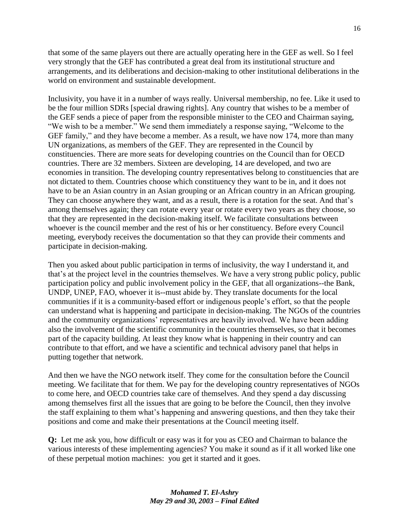that some of the same players out there are actually operating here in the GEF as well. So I feel very strongly that the GEF has contributed a great deal from its institutional structure and arrangements, and its deliberations and decision-making to other institutional deliberations in the world on environment and sustainable development.

Inclusivity, you have it in a number of ways really. Universal membership, no fee. Like it used to be the four million SDRs [special drawing rights]. Any country that wishes to be a member of the GEF sends a piece of paper from the responsible minister to the CEO and Chairman saying, "We wish to be a member." We send them immediately a response saying, "Welcome to the GEF family," and they have become a member. As a result, we have now 174, more than many UN organizations, as members of the GEF. They are represented in the Council by constituencies. There are more seats for developing countries on the Council than for OECD countries. There are 32 members. Sixteen are developing, 14 are developed, and two are economies in transition. The developing country representatives belong to constituencies that are not dictated to them. Countries choose which constituency they want to be in, and it does not have to be an Asian country in an Asian grouping or an African country in an African grouping. They can choose anywhere they want, and as a result, there is a rotation for the seat. And that's among themselves again; they can rotate every year or rotate every two years as they choose, so that they are represented in the decision-making itself. We facilitate consultations between whoever is the council member and the rest of his or her constituency. Before every Council meeting, everybody receives the documentation so that they can provide their comments and participate in decision-making.

Then you asked about public participation in terms of inclusivity, the way I understand it, and that's at the project level in the countries themselves. We have a very strong public policy, public participation policy and public involvement policy in the GEF, that all organizations--the Bank, UNDP, UNEP, FAO, whoever it is--must abide by. They translate documents for the local communities if it is a community-based effort or indigenous people's effort, so that the people can understand what is happening and participate in decision-making. The NGOs of the countries and the community organizations' representatives are heavily involved. We have been adding also the involvement of the scientific community in the countries themselves, so that it becomes part of the capacity building. At least they know what is happening in their country and can contribute to that effort, and we have a scientific and technical advisory panel that helps in putting together that network.

And then we have the NGO network itself. They come for the consultation before the Council meeting. We facilitate that for them. We pay for the developing country representatives of NGOs to come here, and OECD countries take care of themselves. And they spend a day discussing among themselves first all the issues that are going to be before the Council, then they involve the staff explaining to them what's happening and answering questions, and then they take their positions and come and make their presentations at the Council meeting itself.

**Q:** Let me ask you, how difficult or easy was it for you as CEO and Chairman to balance the various interests of these implementing agencies? You make it sound as if it all worked like one of these perpetual motion machines: you get it started and it goes.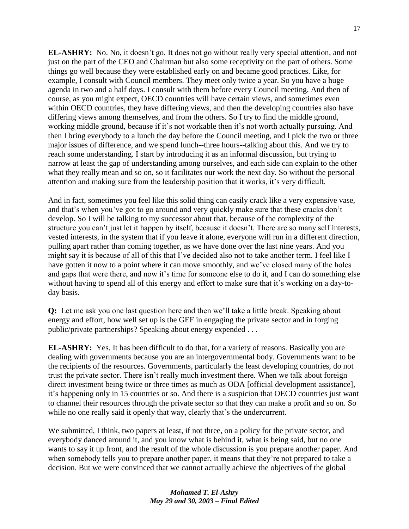**EL-ASHRY:** No. No, it doesn't go. It does not go without really very special attention, and not just on the part of the CEO and Chairman but also some receptivity on the part of others. Some things go well because they were established early on and became good practices. Like, for example, I consult with Council members. They meet only twice a year. So you have a huge agenda in two and a half days. I consult with them before every Council meeting. And then of course, as you might expect, OECD countries will have certain views, and sometimes even within OECD countries, they have differing views, and then the developing countries also have differing views among themselves, and from the others. So I try to find the middle ground, working middle ground, because if it's not workable then it's not worth actually pursuing. And then I bring everybody to a lunch the day before the Council meeting, and I pick the two or three major issues of difference, and we spend lunch--three hours--talking about this. And we try to reach some understanding. I start by introducing it as an informal discussion, but trying to narrow at least the gap of understanding among ourselves, and each side can explain to the other what they really mean and so on, so it facilitates our work the next day. So without the personal attention and making sure from the leadership position that it works, it's very difficult.

And in fact, sometimes you feel like this solid thing can easily crack like a very expensive vase, and that's when you've got to go around and very quickly make sure that these cracks don't develop. So I will be talking to my successor about that, because of the complexity of the structure you can't just let it happen by itself, because it doesn't. There are so many self interests, vested interests, in the system that if you leave it alone, everyone will run in a different direction, pulling apart rather than coming together, as we have done over the last nine years. And you might say it is because of all of this that I've decided also not to take another term. I feel like I have gotten it now to a point where it can move smoothly, and we've closed many of the holes and gaps that were there, and now it's time for someone else to do it, and I can do something else without having to spend all of this energy and effort to make sure that it's working on a day-today basis.

**Q:** Let me ask you one last question here and then we'll take a little break. Speaking about energy and effort, how well set up is the GEF in engaging the private sector and in forging public/private partnerships? Speaking about energy expended . . .

**EL-ASHRY:** Yes. It has been difficult to do that, for a variety of reasons. Basically you are dealing with governments because you are an intergovernmental body. Governments want to be the recipients of the resources. Governments, particularly the least developing countries, do not trust the private sector. There isn't really much investment there. When we talk about foreign direct investment being twice or three times as much as ODA [official development assistance], it's happening only in 15 countries or so. And there is a suspicion that OECD countries just want to channel their resources through the private sector so that they can make a profit and so on. So while no one really said it openly that way, clearly that's the undercurrent.

We submitted, I think, two papers at least, if not three, on a policy for the private sector, and everybody danced around it, and you know what is behind it, what is being said, but no one wants to say it up front, and the result of the whole discussion is you prepare another paper. And when somebody tells you to prepare another paper, it means that they're not prepared to take a decision. But we were convinced that we cannot actually achieve the objectives of the global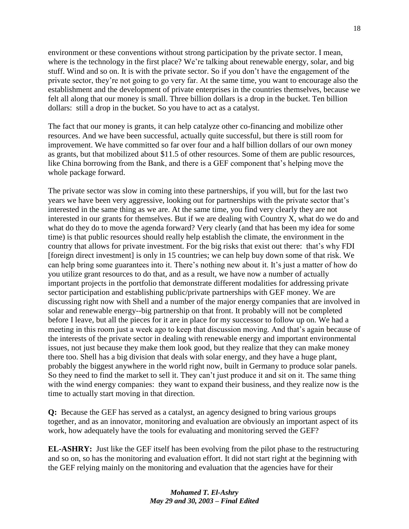environment or these conventions without strong participation by the private sector. I mean, where is the technology in the first place? We're talking about renewable energy, solar, and big stuff. Wind and so on. It is with the private sector. So if you don't have the engagement of the private sector, they're not going to go very far. At the same time, you want to encourage also the establishment and the development of private enterprises in the countries themselves, because we felt all along that our money is small. Three billion dollars is a drop in the bucket. Ten billion dollars: still a drop in the bucket. So you have to act as a catalyst.

The fact that our money is grants, it can help catalyze other co-financing and mobilize other resources. And we have been successful, actually quite successful, but there is still room for improvement. We have committed so far over four and a half billion dollars of our own money as grants, but that mobilized about \$11.5 of other resources. Some of them are public resources, like China borrowing from the Bank, and there is a GEF component that's helping move the whole package forward.

The private sector was slow in coming into these partnerships, if you will, but for the last two years we have been very aggressive, looking out for partnerships with the private sector that's interested in the same thing as we are. At the same time, you find very clearly they are not interested in our grants for themselves. But if we are dealing with Country X, what do we do and what do they do to move the agenda forward? Very clearly (and that has been my idea for some time) is that public resources should really help establish the climate, the environment in the country that allows for private investment. For the big risks that exist out there: that's why FDI [foreign direct investment] is only in 15 countries; we can help buy down some of that risk. We can help bring some guarantees into it. There's nothing new about it. It's just a matter of how do you utilize grant resources to do that, and as a result, we have now a number of actually important projects in the portfolio that demonstrate different modalities for addressing private sector participation and establishing public/private partnerships with GEF money. We are discussing right now with Shell and a number of the major energy companies that are involved in solar and renewable energy--big partnership on that front. It probably will not be completed before I leave, but all the pieces for it are in place for my successor to follow up on. We had a meeting in this room just a week ago to keep that discussion moving. And that's again because of the interests of the private sector in dealing with renewable energy and important environmental issues, not just because they make them look good, but they realize that they can make money there too. Shell has a big division that deals with solar energy, and they have a huge plant, probably the biggest anywhere in the world right now, built in Germany to produce solar panels. So they need to find the market to sell it. They can't just produce it and sit on it. The same thing with the wind energy companies: they want to expand their business, and they realize now is the time to actually start moving in that direction.

**Q:** Because the GEF has served as a catalyst, an agency designed to bring various groups together, and as an innovator, monitoring and evaluation are obviously an important aspect of its work, how adequately have the tools for evaluating and monitoring served the GEF?

**EL-ASHRY:** Just like the GEF itself has been evolving from the pilot phase to the restructuring and so on, so has the monitoring and evaluation effort. It did not start right at the beginning with the GEF relying mainly on the monitoring and evaluation that the agencies have for their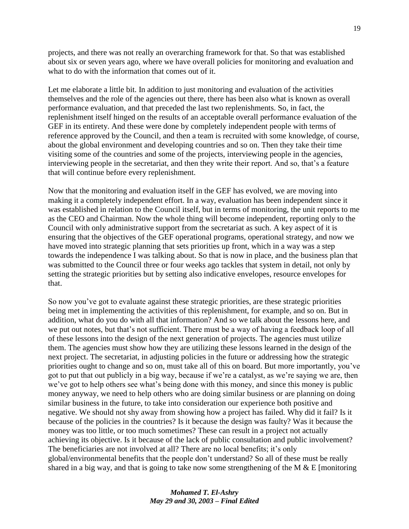projects, and there was not really an overarching framework for that. So that was established about six or seven years ago, where we have overall policies for monitoring and evaluation and what to do with the information that comes out of it.

Let me elaborate a little bit. In addition to just monitoring and evaluation of the activities themselves and the role of the agencies out there, there has been also what is known as overall performance evaluation, and that preceded the last two replenishments. So, in fact, the replenishment itself hinged on the results of an acceptable overall performance evaluation of the GEF in its entirety. And these were done by completely independent people with terms of reference approved by the Council, and then a team is recruited with some knowledge, of course, about the global environment and developing countries and so on. Then they take their time visiting some of the countries and some of the projects, interviewing people in the agencies, interviewing people in the secretariat, and then they write their report. And so, that's a feature that will continue before every replenishment.

Now that the monitoring and evaluation itself in the GEF has evolved, we are moving into making it a completely independent effort. In a way, evaluation has been independent since it was established in relation to the Council itself, but in terms of monitoring, the unit reports to me as the CEO and Chairman. Now the whole thing will become independent, reporting only to the Council with only administrative support from the secretariat as such. A key aspect of it is ensuring that the objectives of the GEF operational programs, operational strategy, and now we have moved into strategic planning that sets priorities up front, which in a way was a step towards the independence I was talking about. So that is now in place, and the business plan that was submitted to the Council three or four weeks ago tackles that system in detail, not only by setting the strategic priorities but by setting also indicative envelopes, resource envelopes for that.

So now you've got to evaluate against these strategic priorities, are these strategic priorities being met in implementing the activities of this replenishment, for example, and so on. But in addition, what do you do with all that information? And so we talk about the lessons here, and we put out notes, but that's not sufficient. There must be a way of having a feedback loop of all of these lessons into the design of the next generation of projects. The agencies must utilize them. The agencies must show how they are utilizing these lessons learned in the design of the next project. The secretariat, in adjusting policies in the future or addressing how the strategic priorities ought to change and so on, must take all of this on board. But more importantly, you've got to put that out publicly in a big way, because if we're a catalyst, as we're saying we are, then we've got to help others see what's being done with this money, and since this money is public money anyway, we need to help others who are doing similar business or are planning on doing similar business in the future, to take into consideration our experience both positive and negative. We should not shy away from showing how a project has failed. Why did it fail? Is it because of the policies in the countries? Is it because the design was faulty? Was it because the money was too little, or too much sometimes? These can result in a project not actually achieving its objective. Is it because of the lack of public consultation and public involvement? The beneficiaries are not involved at all? There are no local benefits; it's only global/environmental benefits that the people don't understand? So all of these must be really shared in a big way, and that is going to take now some strengthening of the M  $&E$  [monitoring]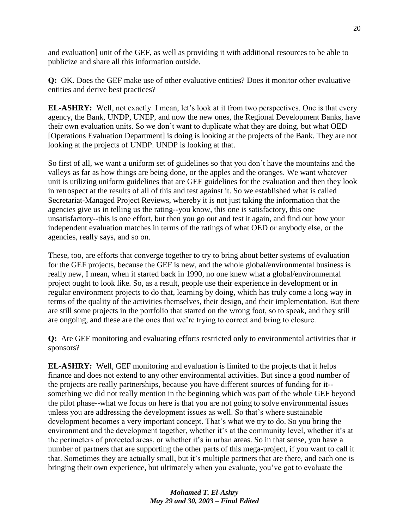and evaluation] unit of the GEF, as well as providing it with additional resources to be able to publicize and share all this information outside.

**Q:** OK. Does the GEF make use of other evaluative entities? Does it monitor other evaluative entities and derive best practices?

**EL-ASHRY:** Well, not exactly. I mean, let's look at it from two perspectives. One is that every agency, the Bank, UNDP, UNEP, and now the new ones, the Regional Development Banks, have their own evaluation units. So we don't want to duplicate what they are doing, but what OED [Operations Evaluation Department] is doing is looking at the projects of the Bank. They are not looking at the projects of UNDP. UNDP is looking at that.

So first of all, we want a uniform set of guidelines so that you don't have the mountains and the valleys as far as how things are being done, or the apples and the oranges. We want whatever unit is utilizing uniform guidelines that are GEF guidelines for the evaluation and then they look in retrospect at the results of all of this and test against it. So we established what is called Secretariat-Managed Project Reviews, whereby it is not just taking the information that the agencies give us in telling us the rating--you know, this one is satisfactory, this one unsatisfactory--this is one effort, but then you go out and test it again, and find out how your independent evaluation matches in terms of the ratings of what OED or anybody else, or the agencies, really says, and so on.

These, too, are efforts that converge together to try to bring about better systems of evaluation for the GEF projects, because the GEF is new, and the whole global/environmental business is really new, I mean, when it started back in 1990, no one knew what a global/environmental project ought to look like. So, as a result, people use their experience in development or in regular environment projects to do that, learning by doing, which has truly come a long way in terms of the quality of the activities themselves, their design, and their implementation. But there are still some projects in the portfolio that started on the wrong foot, so to speak, and they still are ongoing, and these are the ones that we're trying to correct and bring to closure.

**Q:** Are GEF monitoring and evaluating efforts restricted only to environmental activities that *it*  sponsors?

**EL-ASHRY:** Well, GEF monitoring and evaluation is limited to the projects that it helps finance and does not extend to any other environmental activities. But since a good number of the projects are really partnerships, because you have different sources of funding for it- something we did not really mention in the beginning which was part of the whole GEF beyond the pilot phase--what we focus on here is that you are not going to solve environmental issues unless you are addressing the development issues as well. So that's where sustainable development becomes a very important concept. That's what we try to do. So you bring the environment and the development together, whether it's at the community level, whether it's at the perimeters of protected areas, or whether it's in urban areas. So in that sense, you have a number of partners that are supporting the other parts of this mega-project, if you want to call it that. Sometimes they are actually small, but it's multiple partners that are there, and each one is bringing their own experience, but ultimately when you evaluate, you've got to evaluate the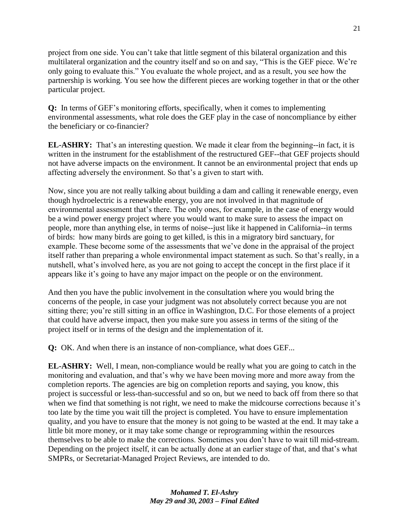project from one side. You can't take that little segment of this bilateral organization and this multilateral organization and the country itself and so on and say, "This is the GEF piece. We're only going to evaluate this." You evaluate the whole project, and as a result, you see how the partnership is working. You see how the different pieces are working together in that or the other particular project.

**Q:** In terms of GEF's monitoring efforts, specifically, when it comes to implementing environmental assessments, what role does the GEF play in the case of noncompliance by either the beneficiary or co-financier?

**EL-ASHRY:** That's an interesting question. We made it clear from the beginning--in fact, it is written in the instrument for the establishment of the restructured GEF--that GEF projects should not have adverse impacts on the environment. It cannot be an environmental project that ends up affecting adversely the environment. So that's a given to start with.

Now, since you are not really talking about building a dam and calling it renewable energy, even though hydroelectric is a renewable energy, you are not involved in that magnitude of environmental assessment that's there. The only ones, for example, in the case of energy would be a wind power energy project where you would want to make sure to assess the impact on people, more than anything else, in terms of noise--just like it happened in California--in terms of birds: how many birds are going to get killed, is this in a migratory bird sanctuary, for example. These become some of the assessments that we've done in the appraisal of the project itself rather than preparing a whole environmental impact statement as such. So that's really, in a nutshell, what's involved here, as you are not going to accept the concept in the first place if it appears like it's going to have any major impact on the people or on the environment.

And then you have the public involvement in the consultation where you would bring the concerns of the people, in case your judgment was not absolutely correct because you are not sitting there; you're still sitting in an office in Washington, D.C. For those elements of a project that could have adverse impact, then you make sure you assess in terms of the siting of the project itself or in terms of the design and the implementation of it.

**Q:** OK. And when there is an instance of non-compliance, what does GEF...

**EL-ASHRY:** Well, I mean, non-compliance would be really what you are going to catch in the monitoring and evaluation, and that's why we have been moving more and more away from the completion reports. The agencies are big on completion reports and saying, you know, this project is successful or less-than-successful and so on, but we need to back off from there so that when we find that something is not right, we need to make the midcourse corrections because it's too late by the time you wait till the project is completed. You have to ensure implementation quality, and you have to ensure that the money is not going to be wasted at the end. It may take a little bit more money, or it may take some change or reprogramming within the resources themselves to be able to make the corrections. Sometimes you don't have to wait till mid-stream. Depending on the project itself, it can be actually done at an earlier stage of that, and that's what SMPRs, or Secretariat-Managed Project Reviews, are intended to do.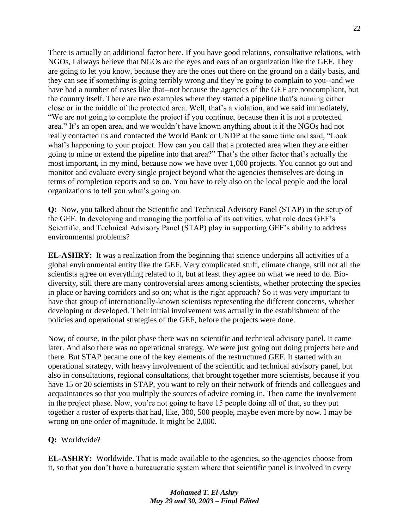There is actually an additional factor here. If you have good relations, consultative relations, with NGOs, I always believe that NGOs are the eyes and ears of an organization like the GEF. They are going to let you know, because they are the ones out there on the ground on a daily basis, and they can see if something is going terribly wrong and they're going to complain to you--and we have had a number of cases like that--not because the agencies of the GEF are noncompliant, but the country itself. There are two examples where they started a pipeline that's running either close or in the middle of the protected area. Well, that's a violation, and we said immediately, ―We are not going to complete the project if you continue, because then it is not a protected area.‖ It's an open area, and we wouldn't have known anything about it if the NGOs had not really contacted us and contacted the World Bank or UNDP at the same time and said, "Look what's happening to your project. How can you call that a protected area when they are either going to mine or extend the pipeline into that area?" That's the other factor that's actually the most important, in my mind, because now we have over 1,000 projects. You cannot go out and monitor and evaluate every single project beyond what the agencies themselves are doing in terms of completion reports and so on. You have to rely also on the local people and the local organizations to tell you what's going on.

**Q:** Now, you talked about the Scientific and Technical Advisory Panel (STAP) in the setup of the GEF. In developing and managing the portfolio of its activities, what role does GEF's Scientific, and Technical Advisory Panel (STAP) play in supporting GEF's ability to address environmental problems?

**EL-ASHRY:** It was a realization from the beginning that science underpins all activities of a global environmental entity like the GEF. Very complicated stuff, climate change, still not all the scientists agree on everything related to it, but at least they agree on what we need to do. Biodiversity, still there are many controversial areas among scientists, whether protecting the species in place or having corridors and so on; what is the right approach? So it was very important to have that group of internationally-known scientists representing the different concerns, whether developing or developed. Their initial involvement was actually in the establishment of the policies and operational strategies of the GEF, before the projects were done.

Now, of course, in the pilot phase there was no scientific and technical advisory panel. It came later. And also there was no operational strategy. We were just going out doing projects here and there. But STAP became one of the key elements of the restructured GEF. It started with an operational strategy, with heavy involvement of the scientific and technical advisory panel, but also in consultations, regional consultations, that brought together more scientists, because if you have 15 or 20 scientists in STAP, you want to rely on their network of friends and colleagues and acquaintances so that you multiply the sources of advice coming in. Then came the involvement in the project phase. Now, you're not going to have 15 people doing all of that, so they put together a roster of experts that had, like, 300, 500 people, maybe even more by now. I may be wrong on one order of magnitude. It might be 2,000.

#### **Q:** Worldwide?

**EL-ASHRY:** Worldwide. That is made available to the agencies, so the agencies choose from it, so that you don't have a bureaucratic system where that scientific panel is involved in every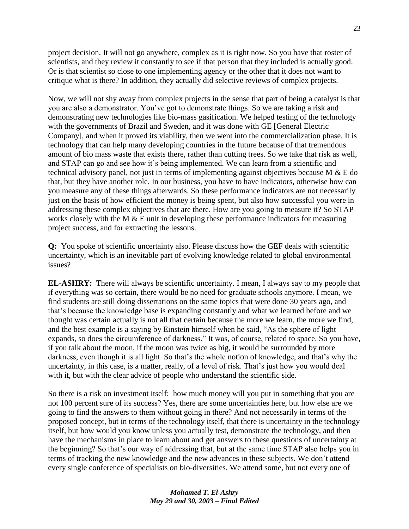project decision. It will not go anywhere, complex as it is right now. So you have that roster of scientists, and they review it constantly to see if that person that they included is actually good. Or is that scientist so close to one implementing agency or the other that it does not want to critique what is there? In addition, they actually did selective reviews of complex projects.

Now, we will not shy away from complex projects in the sense that part of being a catalyst is that you are also a demonstrator. You've got to demonstrate things. So we are taking a risk and demonstrating new technologies like bio-mass gasification. We helped testing of the technology with the governments of Brazil and Sweden, and it was done with GE [General Electric Company], and when it proved its viability, then we went into the commercialization phase. It is technology that can help many developing countries in the future because of that tremendous amount of bio mass waste that exists there, rather than cutting trees. So we take that risk as well, and STAP can go and see how it's being implemented. We can learn from a scientific and technical advisory panel, not just in terms of implementing against objectives because M & E do that, but they have another role. In our business, you have to have indicators, otherwise how can you measure any of these things afterwards. So these performance indicators are not necessarily just on the basis of how efficient the money is being spent, but also how successful you were in addressing these complex objectives that are there. How are you going to measure it? So STAP works closely with the M & E unit in developing these performance indicators for measuring project success, and for extracting the lessons.

**Q:** You spoke of scientific uncertainty also. Please discuss how the GEF deals with scientific uncertainty, which is an inevitable part of evolving knowledge related to global environmental issues?

**EL-ASHRY:** There will always be scientific uncertainty. I mean, I always say to my people that if everything was so certain, there would be no need for graduate schools anymore. I mean, we find students are still doing dissertations on the same topics that were done 30 years ago, and that's because the knowledge base is expanding constantly and what we learned before and we thought was certain actually is not all that certain because the more we learn, the more we find, and the best example is a saying by Einstein himself when he said, "As the sphere of light expands, so does the circumference of darkness." It was, of course, related to space. So you have, if you talk about the moon, if the moon was twice as big, it would be surrounded by more darkness, even though it is all light. So that's the whole notion of knowledge, and that's why the uncertainty, in this case, is a matter, really, of a level of risk. That's just how you would deal with it, but with the clear advice of people who understand the scientific side.

So there is a risk on investment itself: how much money will you put in something that you are not 100 percent sure of its success? Yes, there are some uncertainties here, but how else are we going to find the answers to them without going in there? And not necessarily in terms of the proposed concept, but in terms of the technology itself, that there is uncertainty in the technology itself, but how would you know unless you actually test, demonstrate the technology, and then have the mechanisms in place to learn about and get answers to these questions of uncertainty at the beginning? So that's our way of addressing that, but at the same time STAP also helps you in terms of tracking the new knowledge and the new advances in these subjects. We don't attend every single conference of specialists on bio-diversities. We attend some, but not every one of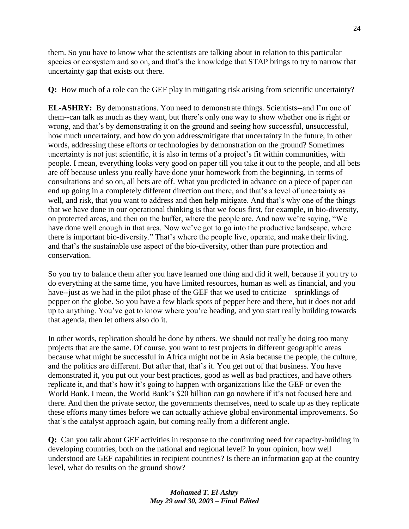them. So you have to know what the scientists are talking about in relation to this particular species or ecosystem and so on, and that's the knowledge that STAP brings to try to narrow that uncertainty gap that exists out there.

**Q:** How much of a role can the GEF play in mitigating risk arising from scientific uncertainty?

**EL-ASHRY:** By demonstrations. You need to demonstrate things. Scientists--and I'm one of them--can talk as much as they want, but there's only one way to show whether one is right or wrong, and that's by demonstrating it on the ground and seeing how successful, unsuccessful, how much uncertainty, and how do you address/mitigate that uncertainty in the future, in other words, addressing these efforts or technologies by demonstration on the ground? Sometimes uncertainty is not just scientific, it is also in terms of a project's fit within communities, with people. I mean, everything looks very good on paper till you take it out to the people, and all bets are off because unless you really have done your homework from the beginning, in terms of consultations and so on, all bets are off. What you predicted in advance on a piece of paper can end up going in a completely different direction out there, and that's a level of uncertainty as well, and risk, that you want to address and then help mitigate. And that's why one of the things that we have done in our operational thinking is that we focus first, for example, in bio-diversity, on protected areas, and then on the buffer, where the people are. And now we're saying, "We have done well enough in that area. Now we've got to go into the productive landscape, where there is important bio-diversity." That's where the people live, operate, and make their living, and that's the sustainable use aspect of the bio-diversity, other than pure protection and conservation.

So you try to balance them after you have learned one thing and did it well, because if you try to do everything at the same time, you have limited resources, human as well as financial, and you have--just as we had in the pilot phase of the GEF that we used to criticize—sprinklings of pepper on the globe. So you have a few black spots of pepper here and there, but it does not add up to anything. You've got to know where you're heading, and you start really building towards that agenda, then let others also do it.

In other words, replication should be done by others. We should not really be doing too many projects that are the same. Of course, you want to test projects in different geographic areas because what might be successful in Africa might not be in Asia because the people, the culture, and the politics are different. But after that, that's it. You get out of that business. You have demonstrated it, you put out your best practices, good as well as bad practices, and have others replicate it, and that's how it's going to happen with organizations like the GEF or even the World Bank. I mean, the World Bank's \$20 billion can go nowhere if it's not focused here and there. And then the private sector, the governments themselves, need to scale up as they replicate these efforts many times before we can actually achieve global environmental improvements. So that's the catalyst approach again, but coming really from a different angle.

**Q:** Can you talk about GEF activities in response to the continuing need for capacity-building in developing countries, both on the national and regional level? In your opinion, how well understood are GEF capabilities in recipient countries? Is there an information gap at the country level, what do results on the ground show?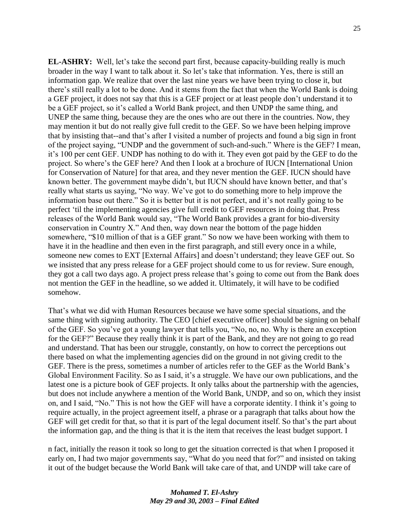**EL-ASHRY:** Well, let's take the second part first, because capacity-building really is much broader in the way I want to talk about it. So let's take that information. Yes, there is still an information gap. We realize that over the last nine years we have been trying to close it, but there's still really a lot to be done. And it stems from the fact that when the World Bank is doing a GEF project, it does not say that this is a GEF project or at least people don't understand it to be a GEF project, so it's called a World Bank project, and then UNDP the same thing, and UNEP the same thing, because they are the ones who are out there in the countries. Now, they may mention it but do not really give full credit to the GEF. So we have been helping improve that by insisting that--and that's after I visited a number of projects and found a big sign in front of the project saying, "UNDP and the government of such-and-such." Where is the GEF? I mean, it's 100 per cent GEF. UNDP has nothing to do with it. They even got paid by the GEF to do the project. So where's the GEF here? And then I look at a brochure of IUCN [International Union for Conservation of Nature] for that area, and they never mention the GEF. IUCN should have known better. The government maybe didn't, but IUCN should have known better, and that's really what starts us saying, "No way. We've got to do something more to help improve the information base out there." So it is better but it is not perfect, and it's not really going to be perfect ‗til the implementing agencies give full credit to GEF resources in doing that. Press releases of the World Bank would say, "The World Bank provides a grant for bio-diversity conservation in Country X." And then, way down near the bottom of the page hidden somewhere, "\$10 million of that is a GEF grant." So now we have been working with them to have it in the headline and then even in the first paragraph, and still every once in a while, someone new comes to EXT [External Affairs] and doesn't understand; they leave GEF out. So we insisted that any press release for a GEF project should come to us for review. Sure enough, they got a call two days ago. A project press release that's going to come out from the Bank does not mention the GEF in the headline, so we added it. Ultimately, it will have to be codified somehow.

That's what we did with Human Resources because we have some special situations, and the same thing with signing authority. The CEO [chief executive officer] should be signing on behalf of the GEF. So you've got a young lawyer that tells you, "No, no, no. Why is there an exception for the GEF?" Because they really think it is part of the Bank, and they are not going to go read and understand. That has been our struggle, constantly, on how to correct the perceptions out there based on what the implementing agencies did on the ground in not giving credit to the GEF. There is the press, sometimes a number of articles refer to the GEF as the World Bank's Global Environment Facility. So as I said, it's a struggle. We have our own publications, and the latest one is a picture book of GEF projects. It only talks about the partnership with the agencies, but does not include anywhere a mention of the World Bank, UNDP, and so on, which they insist on, and I said, "No." This is not how the GEF will have a corporate identity. I think it's going to require actually, in the project agreement itself, a phrase or a paragraph that talks about how the GEF will get credit for that, so that it is part of the legal document itself. So that's the part about the information gap, and the thing is that it is the item that receives the least budget support. I

n fact, initially the reason it took so long to get the situation corrected is that when I proposed it early on, I had two major governments say, "What do you need that for?" and insisted on taking it out of the budget because the World Bank will take care of that, and UNDP will take care of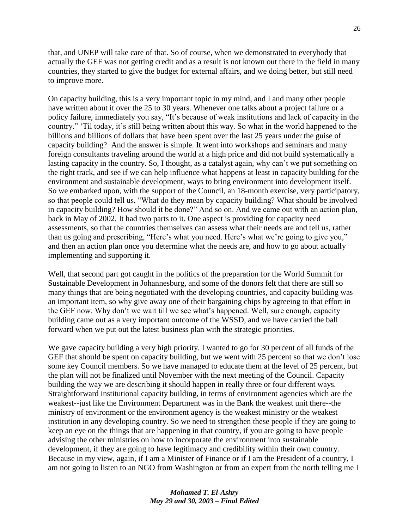that, and UNEP will take care of that. So of course, when we demonstrated to everybody that actually the GEF was not getting credit and as a result is not known out there in the field in many countries, they started to give the budget for external affairs, and we doing better, but still need to improve more.

On capacity building, this is a very important topic in my mind, and I and many other people have written about it over the 25 to 30 years. Whenever one talks about a project failure or a policy failure, immediately you say, "It's because of weak institutions and lack of capacity in the country." "Til today, it's still being written about this way. So what in the world happened to the billions and billions of dollars that have been spent over the last 25 years under the guise of capacity building? And the answer is simple. It went into workshops and seminars and many foreign consultants traveling around the world at a high price and did not build systematically a lasting capacity in the country. So, I thought, as a catalyst again, why can't we put something on the right track, and see if we can help influence what happens at least in capacity building for the environment and sustainable development, ways to bring environment into development itself. So we embarked upon, with the support of the Council, an 18-month exercise, very participatory, so that people could tell us, "What do they mean by capacity building? What should be involved in capacity building? How should it be done?" And so on. And we came out with an action plan, back in May of 2002. It had two parts to it. One aspect is providing for capacity need assessments, so that the countries themselves can assess what their needs are and tell us, rather than us going and prescribing, "Here's what you need. Here's what we're going to give you," and then an action plan once you determine what the needs are, and how to go about actually implementing and supporting it.

Well, that second part got caught in the politics of the preparation for the World Summit for Sustainable Development in Johannesburg, and some of the donors felt that there are still so many things that are being negotiated with the developing countries, and capacity building was an important item, so why give away one of their bargaining chips by agreeing to that effort in the GEF now. Why don't we wait till we see what's happened. Well, sure enough, capacity building came out as a very important outcome of the WSSD, and we have carried the ball forward when we put out the latest business plan with the strategic priorities.

We gave capacity building a very high priority. I wanted to go for 30 percent of all funds of the GEF that should be spent on capacity building, but we went with 25 percent so that we don't lose some key Council members. So we have managed to educate them at the level of 25 percent, but the plan will not be finalized until November with the next meeting of the Council. Capacity building the way we are describing it should happen in really three or four different ways. Straightforward institutional capacity building, in terms of environment agencies which are the weakest--just like the Environment Department was in the Bank the weakest unit there--the ministry of environment or the environment agency is the weakest ministry or the weakest institution in any developing country. So we need to strengthen these people if they are going to keep an eye on the things that are happening in that country, if you are going to have people advising the other ministries on how to incorporate the environment into sustainable development, if they are going to have legitimacy and credibility within their own country. Because in my view, again, if I am a Minister of Finance or if I am the President of a country, I am not going to listen to an NGO from Washington or from an expert from the north telling me I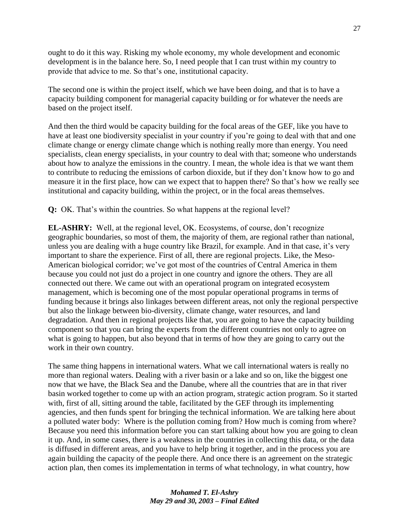ought to do it this way. Risking my whole economy, my whole development and economic development is in the balance here. So, I need people that I can trust within my country to provide that advice to me. So that's one, institutional capacity.

The second one is within the project itself, which we have been doing, and that is to have a capacity building component for managerial capacity building or for whatever the needs are based on the project itself.

And then the third would be capacity building for the focal areas of the GEF, like you have to have at least one biodiversity specialist in your country if you're going to deal with that and one climate change or energy climate change which is nothing really more than energy. You need specialists, clean energy specialists, in your country to deal with that; someone who understands about how to analyze the emissions in the country. I mean, the whole idea is that we want them to contribute to reducing the emissions of carbon dioxide, but if they don't know how to go and measure it in the first place, how can we expect that to happen there? So that's how we really see institutional and capacity building, within the project, or in the focal areas themselves.

**Q:** OK. That's within the countries. So what happens at the regional level?

**EL-ASHRY:** Well, at the regional level, OK. Ecosystems, of course, don't recognize geographic boundaries, so most of them, the majority of them, are regional rather than national, unless you are dealing with a huge country like Brazil, for example. And in that case, it's very important to share the experience. First of all, there are regional projects. Like, the Meso-American biological corridor; we've got most of the countries of Central America in them because you could not just do a project in one country and ignore the others. They are all connected out there. We came out with an operational program on integrated ecosystem management, which is becoming one of the most popular operational programs in terms of funding because it brings also linkages between different areas, not only the regional perspective but also the linkage between bio-diversity, climate change, water resources, and land degradation. And then in regional projects like that, you are going to have the capacity building component so that you can bring the experts from the different countries not only to agree on what is going to happen, but also beyond that in terms of how they are going to carry out the work in their own country.

The same thing happens in international waters. What we call international waters is really no more than regional waters. Dealing with a river basin or a lake and so on, like the biggest one now that we have, the Black Sea and the Danube, where all the countries that are in that river basin worked together to come up with an action program, strategic action program. So it started with, first of all, sitting around the table, facilitated by the GEF through its implementing agencies, and then funds spent for bringing the technical information. We are talking here about a polluted water body: Where is the pollution coming from? How much is coming from where? Because you need this information before you can start talking about how you are going to clean it up. And, in some cases, there is a weakness in the countries in collecting this data, or the data is diffused in different areas, and you have to help bring it together, and in the process you are again building the capacity of the people there. And once there is an agreement on the strategic action plan, then comes its implementation in terms of what technology, in what country, how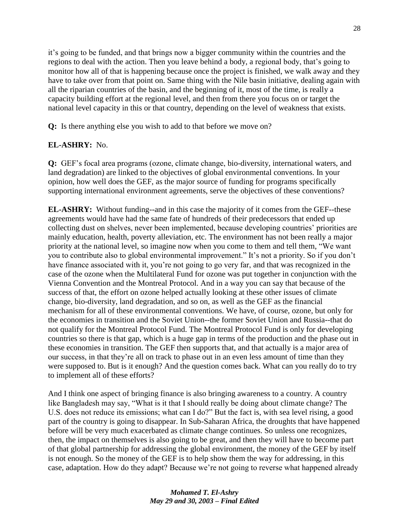it's going to be funded, and that brings now a bigger community within the countries and the regions to deal with the action. Then you leave behind a body, a regional body, that's going to monitor how all of that is happening because once the project is finished, we walk away and they have to take over from that point on. Same thing with the Nile basin initiative, dealing again with all the riparian countries of the basin, and the beginning of it, most of the time, is really a capacity building effort at the regional level, and then from there you focus on or target the national level capacity in this or that country, depending on the level of weakness that exists.

**Q:** Is there anything else you wish to add to that before we move on?

# **EL-ASHRY:** No.

**Q:** GEF's focal area programs (ozone, climate change, bio-diversity, international waters, and land degradation) are linked to the objectives of global environmental conventions. In your opinion, how well does the GEF, as the major source of funding for programs specifically supporting international environment agreements, serve the objectives of these conventions?

**EL-ASHRY:** Without funding--and in this case the majority of it comes from the GEF--these agreements would have had the same fate of hundreds of their predecessors that ended up collecting dust on shelves, never been implemented, because developing countries' priorities are mainly education, health, poverty alleviation, etc. The environment has not been really a major priority at the national level, so imagine now when you come to them and tell them, "We want you to contribute also to global environmental improvement." It's not a priority. So if you don't have finance associated with it, you're not going to go very far, and that was recognized in the case of the ozone when the Multilateral Fund for ozone was put together in conjunction with the Vienna Convention and the Montreal Protocol. And in a way you can say that because of the success of that, the effort on ozone helped actually looking at these other issues of climate change, bio-diversity, land degradation, and so on, as well as the GEF as the financial mechanism for all of these environmental conventions. We have, of course, ozone, but only for the economies in transition and the Soviet Union--the former Soviet Union and Russia--that do not qualify for the Montreal Protocol Fund. The Montreal Protocol Fund is only for developing countries so there is that gap, which is a huge gap in terms of the production and the phase out in these economies in transition. The GEF then supports that, and that actually is a major area of our success, in that they're all on track to phase out in an even less amount of time than they were supposed to. But is it enough? And the question comes back. What can you really do to try to implement all of these efforts?

And I think one aspect of bringing finance is also bringing awareness to a country. A country like Bangladesh may say, "What is it that I should really be doing about climate change? The U.S. does not reduce its emissions; what can I do?" But the fact is, with sea level rising, a good part of the country is going to disappear. In Sub-Saharan Africa, the droughts that have happened before will be very much exacerbated as climate change continues. So unless one recognizes, then, the impact on themselves is also going to be great, and then they will have to become part of that global partnership for addressing the global environment, the money of the GEF by itself is not enough. So the money of the GEF is to help show them the way for addressing, in this case, adaptation. How do they adapt? Because we're not going to reverse what happened already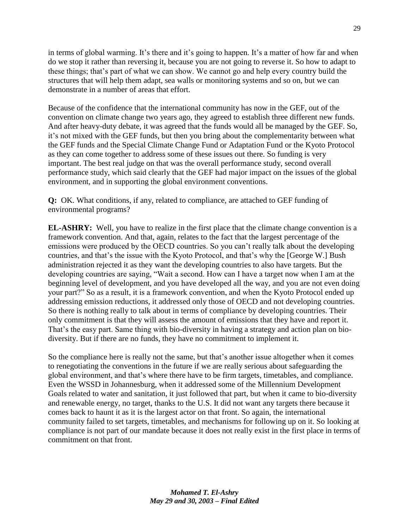in terms of global warming. It's there and it's going to happen. It's a matter of how far and when do we stop it rather than reversing it, because you are not going to reverse it. So how to adapt to these things; that's part of what we can show. We cannot go and help every country build the structures that will help them adapt, sea walls or monitoring systems and so on, but we can demonstrate in a number of areas that effort.

Because of the confidence that the international community has now in the GEF, out of the convention on climate change two years ago, they agreed to establish three different new funds. And after heavy-duty debate, it was agreed that the funds would all be managed by the GEF. So, it's not mixed with the GEF funds, but then you bring about the complementarity between what the GEF funds and the Special Climate Change Fund or Adaptation Fund or the Kyoto Protocol as they can come together to address some of these issues out there. So funding is very important. The best real judge on that was the overall performance study, second overall performance study, which said clearly that the GEF had major impact on the issues of the global environment, and in supporting the global environment conventions.

**Q:** OK. What conditions, if any, related to compliance, are attached to GEF funding of environmental programs?

**EL-ASHRY:** Well, you have to realize in the first place that the climate change convention is a framework convention. And that, again, relates to the fact that the largest percentage of the emissions were produced by the OECD countries. So you can't really talk about the developing countries, and that's the issue with the Kyoto Protocol, and that's why the [George W.] Bush administration rejected it as they want the developing countries to also have targets. But the developing countries are saying, "Wait a second. How can I have a target now when I am at the beginning level of development, and you have developed all the way, and you are not even doing your part?" So as a result, it is a framework convention, and when the Kyoto Protocol ended up addressing emission reductions, it addressed only those of OECD and not developing countries. So there is nothing really to talk about in terms of compliance by developing countries. Their only commitment is that they will assess the amount of emissions that they have and report it. That's the easy part. Same thing with bio-diversity in having a strategy and action plan on biodiversity. But if there are no funds, they have no commitment to implement it.

So the compliance here is really not the same, but that's another issue altogether when it comes to renegotiating the conventions in the future if we are really serious about safeguarding the global environment, and that's where there have to be firm targets, timetables, and compliance. Even the WSSD in Johannesburg, when it addressed some of the Millennium Development Goals related to water and sanitation, it just followed that part, but when it came to bio-diversity and renewable energy, no target, thanks to the U.S. It did not want any targets there because it comes back to haunt it as it is the largest actor on that front. So again, the international community failed to set targets, timetables, and mechanisms for following up on it. So looking at compliance is not part of our mandate because it does not really exist in the first place in terms of commitment on that front.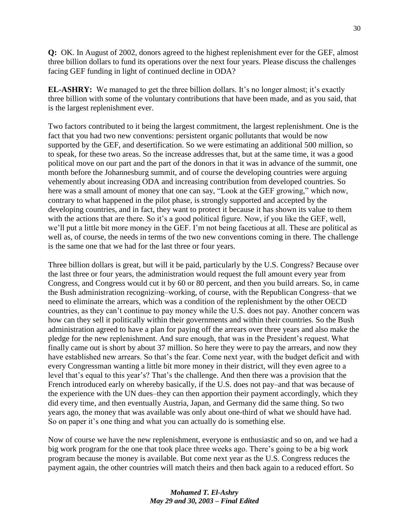**Q:** OK. In August of 2002, donors agreed to the highest replenishment ever for the GEF, almost three billion dollars to fund its operations over the next four years. Please discuss the challenges facing GEF funding in light of continued decline in ODA?

**EL-ASHRY:** We managed to get the three billion dollars. It's no longer almost; it's exactly three billion with some of the voluntary contributions that have been made, and as you said, that is the largest replenishment ever.

Two factors contributed to it being the largest commitment, the largest replenishment. One is the fact that you had two new conventions: persistent organic pollutants that would be now supported by the GEF, and desertification. So we were estimating an additional 500 million, so to speak, for these two areas. So the increase addresses that, but at the same time, it was a good political move on our part and the part of the donors in that it was in advance of the summit, one month before the Johannesburg summit, and of course the developing countries were arguing vehemently about increasing ODA and increasing contribution from developed countries. So here was a small amount of money that one can say, "Look at the GEF growing," which now, contrary to what happened in the pilot phase, is strongly supported and accepted by the developing countries, and in fact, they want to protect it because it has shown its value to them with the actions that are there. So it's a good political figure. Now, if you like the GEF, well, we'll put a little bit more money in the GEF. I'm not being facetious at all. These are political as well as, of course, the needs in terms of the two new conventions coming in there. The challenge is the same one that we had for the last three or four years.

Three billion dollars is great, but will it be paid, particularly by the U.S. Congress? Because over the last three or four years, the administration would request the full amount every year from Congress, and Congress would cut it by 60 or 80 percent, and then you build arrears. So, in came the Bush administration recognizing–working, of course, with the Republican Congress–that we need to eliminate the arrears, which was a condition of the replenishment by the other OECD countries, as they can't continue to pay money while the U.S. does not pay. Another concern was how can they sell it politically within their governments and within their countries. So the Bush administration agreed to have a plan for paying off the arrears over three years and also make the pledge for the new replenishment. And sure enough, that was in the President's request. What finally came out is short by about 37 million. So here they were to pay the arrears, and now they have established new arrears. So that's the fear. Come next year, with the budget deficit and with every Congressman wanting a little bit more money in their district, will they even agree to a level that's equal to this year's? That's the challenge. And then there was a provision that the French introduced early on whereby basically, if the U.S. does not pay–and that was because of the experience with the UN dues–they can then apportion their payment accordingly, which they did every time, and then eventually Austria, Japan, and Germany did the same thing. So two years ago, the money that was available was only about one-third of what we should have had. So on paper it's one thing and what you can actually do is something else.

Now of course we have the new replenishment, everyone is enthusiastic and so on, and we had a big work program for the one that took place three weeks ago. There's going to be a big work program because the money is available. But come next year as the U.S. Congress reduces the payment again, the other countries will match theirs and then back again to a reduced effort. So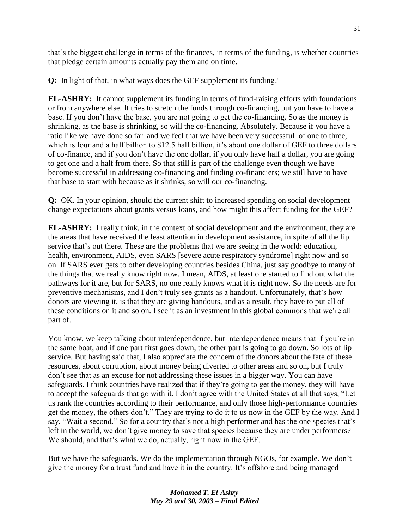that's the biggest challenge in terms of the finances, in terms of the funding, is whether countries that pledge certain amounts actually pay them and on time.

**Q:** In light of that, in what ways does the GEF supplement its funding?

**EL-ASHRY:** It cannot supplement its funding in terms of fund-raising efforts with foundations or from anywhere else. It tries to stretch the funds through co-financing, but you have to have a base. If you don't have the base, you are not going to get the co-financing. So as the money is shrinking, as the base is shrinking, so will the co-financing. Absolutely. Because if you have a ratio like we have done so far–and we feel that we have been very successful–of one to three, which is four and a half billion to \$12.5 half billion, it's about one dollar of GEF to three dollars of co-finance, and if you don't have the one dollar, if you only have half a dollar, you are going to get one and a half from there. So that still is part of the challenge even though we have become successful in addressing co-financing and finding co-financiers; we still have to have that base to start with because as it shrinks, so will our co-financing.

**Q:** OK. In your opinion, should the current shift to increased spending on social development change expectations about grants versus loans, and how might this affect funding for the GEF?

**EL-ASHRY:** I really think, in the context of social development and the environment, they are the areas that have received the least attention in development assistance, in spite of all the lip service that's out there. These are the problems that we are seeing in the world: education, health, environment, AIDS, even SARS [severe acute respiratory syndrome] right now and so on. If SARS ever gets to other developing countries besides China, just say goodbye to many of the things that we really know right now. I mean, AIDS, at least one started to find out what the pathways for it are, but for SARS, no one really knows what it is right now. So the needs are for preventive mechanisms, and I don't truly see grants as a handout. Unfortunately, that's how donors are viewing it, is that they are giving handouts, and as a result, they have to put all of these conditions on it and so on. I see it as an investment in this global commons that we're all part of.

You know, we keep talking about interdependence, but interdependence means that if you're in the same boat, and if one part first goes down, the other part is going to go down. So lots of lip service. But having said that, I also appreciate the concern of the donors about the fate of these resources, about corruption, about money being diverted to other areas and so on, but I truly don't see that as an excuse for not addressing these issues in a bigger way. You can have safeguards. I think countries have realized that if they're going to get the money, they will have to accept the safeguards that go with it. I don't agree with the United States at all that says, "Let us rank the countries according to their performance, and only those high-performance countries get the money, the others don't." They are trying to do it to us now in the GEF by the way. And I say, "Wait a second." So for a country that's not a high performer and has the one species that's left in the world, we don't give money to save that species because they are under performers? We should, and that's what we do, actually, right now in the GEF.

But we have the safeguards. We do the implementation through NGOs, for example. We don't give the money for a trust fund and have it in the country. It's offshore and being managed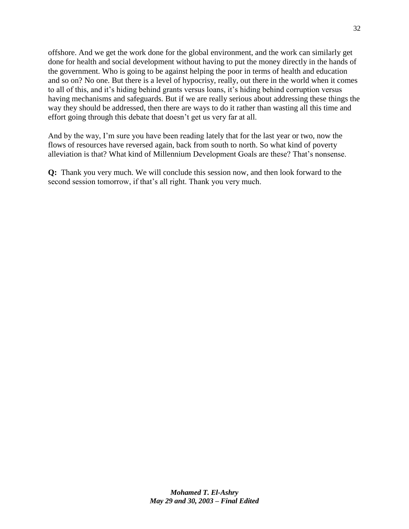offshore. And we get the work done for the global environment, and the work can similarly get done for health and social development without having to put the money directly in the hands of the government. Who is going to be against helping the poor in terms of health and education and so on? No one. But there is a level of hypocrisy, really, out there in the world when it comes to all of this, and it's hiding behind grants versus loans, it's hiding behind corruption versus having mechanisms and safeguards. But if we are really serious about addressing these things the way they should be addressed, then there are ways to do it rather than wasting all this time and effort going through this debate that doesn't get us very far at all.

And by the way, I'm sure you have been reading lately that for the last year or two, now the flows of resources have reversed again, back from south to north. So what kind of poverty alleviation is that? What kind of Millennium Development Goals are these? That's nonsense.

**Q:** Thank you very much. We will conclude this session now, and then look forward to the second session tomorrow, if that's all right. Thank you very much.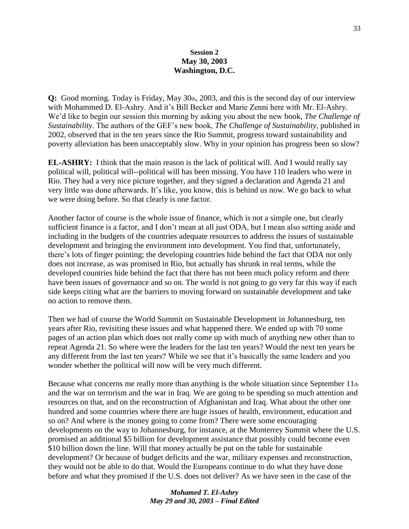#### **Session 2 May 30, 2003 Washington, D.C.**

**Q:** Good morning. Today is Friday, May 30th, 2003, and this is the second day of our interview with Mohammed D. El-Ashry. And it's Bill Becker and Marie Zenni here with Mr. El-Ashry. We'd like to begin our session this morning by asking you about the new book, *The Challenge of Sustainability*. The authors of the GEF's new book, *The Challenge of Sustainability,* published in 2002, observed that in the ten years since the Rio Summit, progress toward sustainability and poverty alleviation has been unacceptably slow. Why in your opinion has progress been so slow?

**EL-ASHRY:** I think that the main reason is the lack of political will. And I would really say political will, political will--political will has been missing. You have 110 leaders who were in Rio. They had a very nice picture together, and they signed a declaration and Agenda 21 and very little was done afterwards. It's like, you know, this is behind us now. We go back to what we were doing before. So that clearly is one factor.

Another factor of course is the whole issue of finance, which is not a simple one, but clearly sufficient finance is a factor, and I don't mean at all just ODA, but I mean also setting aside and including in the budgets of the countries adequate resources to address the issues of sustainable development and bringing the environment into development. You find that, unfortunately, there's lots of finger pointing; the developing countries hide behind the fact that ODA not only does not increase, as was promised in Rio, but actually has shrunk in real terms, while the developed countries hide behind the fact that there has not been much policy reform and there have been issues of governance and so on. The world is not going to go very far this way if each side keeps citing what are the barriers to moving forward on sustainable development and take no action to remove them.

Then we had of course the World Summit on Sustainable Development in Johannesburg, ten years after Rio, revisiting these issues and what happened there. We ended up with 70 some pages of an action plan which does not really come up with much of anything new other than to repeat Agenda 21. So where were the leaders for the last ten years? Would the next ten years be any different from the last ten years? While we see that it's basically the same leaders and you wonder whether the political will now will be very much different.

Because what concerns me really more than anything is the whole situation since September 11th and the war on terrorism and the war in Iraq. We are going to be spending so much attention and resources on that, and on the reconstruction of Afghanistan and Iraq. What about the other one hundred and some countries where there are huge issues of health, environment, education and so on? And where is the money going to come from? There were some encouraging developments on the way to Johannesburg, for instance, at the Monterrey Summit where the U.S. promised an additional \$5 billion for development assistance that possibly could become even \$10 billion down the line. Will that money actually be put on the table for sustainable development? Or because of budget deficits and the war, military expenses and reconstruction, they would not be able to do that. Would the Europeans continue to do what they have done before and what they promised if the U.S. does not deliver? As we have seen in the case of the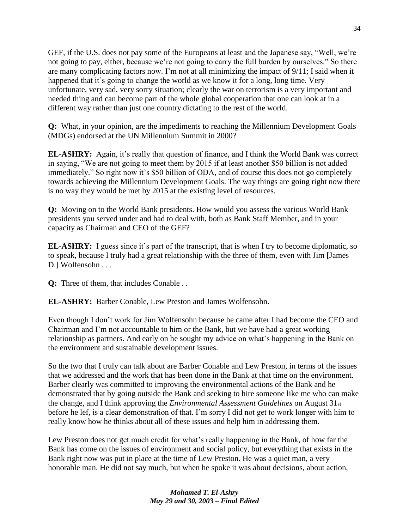GEF, if the U.S. does not pay some of the Europeans at least and the Japanese say, "Well, we're not going to pay, either, because we're not going to carry the full burden by ourselves." So there are many complicating factors now. I'm not at all minimizing the impact of 9/11; I said when it happened that it's going to change the world as we know it for a long, long time. Very unfortunate, very sad, very sorry situation; clearly the war on terrorism is a very important and needed thing and can become part of the whole global cooperation that one can look at in a different way rather than just one country dictating to the rest of the world.

**Q:** What, in your opinion, are the impediments to reaching the Millennium Development Goals (MDGs) endorsed at the UN Millennium Summit in 2000?

**EL-ASHRY:** Again, it's really that question of finance, and I think the World Bank was correct in saying, "We are not going to meet them by 2015 if at least another \$50 billion is not added immediately." So right now it's \$50 billion of ODA, and of course this does not go completely towards achieving the Millennium Development Goals. The way things are going right now there is no way they would be met by 2015 at the existing level of resources.

**Q:** Moving on to the World Bank presidents. How would you assess the various World Bank presidents you served under and had to deal with, both as Bank Staff Member, and in your capacity as Chairman and CEO of the GEF?

**EL-ASHRY:** I guess since it's part of the transcript, that is when I try to become diplomatic, so to speak, because I truly had a great relationship with the three of them, even with Jim [James D.] Wolfensohn . . .

**Q:** Three of them, that includes Conable . .

**EL-ASHRY:** Barber Conable, Lew Preston and James Wolfensohn.

Even though I don't work for Jim Wolfensohn because he came after I had become the CEO and Chairman and I'm not accountable to him or the Bank, but we have had a great working relationship as partners. And early on he sought my advice on what's happening in the Bank on the environment and sustainable development issues.

So the two that I truly can talk about are Barber Conable and Lew Preston, in terms of the issues that we addressed and the work that has been done in the Bank at that time on the environment. Barber clearly was committed to improving the environmental actions of the Bank and he demonstrated that by going outside the Bank and seeking to hire someone like me who can make the change, and I think approving the *Environmental Assessment Guidelines* on August 31st before he lef, is a clear demonstration of that. I'm sorry I did not get to work longer with him to really know how he thinks about all of these issues and help him in addressing them.

Lew Preston does not get much credit for what's really happening in the Bank, of how far the Bank has come on the issues of environment and social policy, but everything that exists in the Bank right now was put in place at the time of Lew Preston. He was a quiet man, a very honorable man. He did not say much, but when he spoke it was about decisions, about action,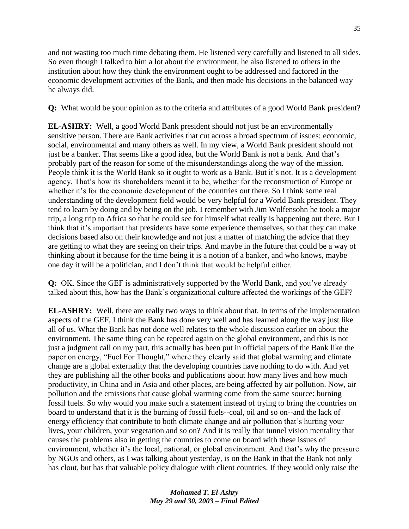and not wasting too much time debating them. He listened very carefully and listened to all sides. So even though I talked to him a lot about the environment, he also listened to others in the institution about how they think the environment ought to be addressed and factored in the economic development activities of the Bank, and then made his decisions in the balanced way he always did.

**Q:** What would be your opinion as to the criteria and attributes of a good World Bank president?

**EL-ASHRY:** Well, a good World Bank president should not just be an environmentally sensitive person. There are Bank activities that cut across a broad spectrum of issues: economic, social, environmental and many others as well. In my view, a World Bank president should not just be a banker. That seems like a good idea, but the World Bank is not a bank. And that's probably part of the reason for some of the misunderstandings along the way of the mission. People think it is the World Bank so it ought to work as a Bank. But it's not. It is a development agency. That's how its shareholders meant it to be, whether for the reconstruction of Europe or whether it's for the economic development of the countries out there. So I think some real understanding of the development field would be very helpful for a World Bank president. They tend to learn by doing and by being on the job. I remember with Jim Wolfensohn he took a major trip, a long trip to Africa so that he could see for himself what really is happening out there. But I think that it's important that presidents have some experience themselves, so that they can make decisions based also on their knowledge and not just a matter of matching the advice that they are getting to what they are seeing on their trips. And maybe in the future that could be a way of thinking about it because for the time being it is a notion of a banker, and who knows, maybe one day it will be a politician, and I don't think that would be helpful either.

**Q:** OK. Since the GEF is administratively supported by the World Bank, and you've already talked about this, how has the Bank's organizational culture affected the workings of the GEF?

**EL-ASHRY:** Well, there are really two ways to think about that. In terms of the implementation aspects of the GEF, I think the Bank has done very well and has learned along the way just like all of us. What the Bank has not done well relates to the whole discussion earlier on about the environment. The same thing can be repeated again on the global environment, and this is not just a judgment call on my part, this actually has been put in official papers of the Bank like the paper on energy, "Fuel For Thought," where they clearly said that global warming and climate change are a global externality that the developing countries have nothing to do with. And yet they are publishing all the other books and publications about how many lives and how much productivity, in China and in Asia and other places, are being affected by air pollution. Now, air pollution and the emissions that cause global warming come from the same source: burning fossil fuels. So why would you make such a statement instead of trying to bring the countries on board to understand that it is the burning of fossil fuels--coal, oil and so on--and the lack of energy efficiency that contribute to both climate change and air pollution that's hurting your lives, your children, your vegetation and so on? And it is really that tunnel vision mentality that causes the problems also in getting the countries to come on board with these issues of environment, whether it's the local, national, or global environment. And that's why the pressure by NGOs and others, as I was talking about yesterday, is on the Bank in that the Bank not only has clout, but has that valuable policy dialogue with client countries. If they would only raise the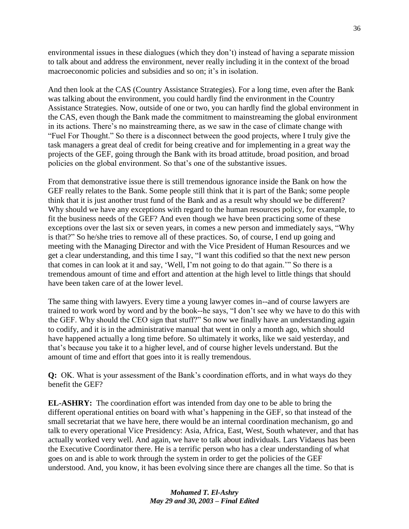environmental issues in these dialogues (which they don't) instead of having a separate mission to talk about and address the environment, never really including it in the context of the broad macroeconomic policies and subsidies and so on; it's in isolation.

And then look at the CAS (Country Assistance Strategies). For a long time, even after the Bank was talking about the environment, you could hardly find the environment in the Country Assistance Strategies. Now, outside of one or two, you can hardly find the global environment in the CAS, even though the Bank made the commitment to mainstreaming the global environment in its actions. There's no mainstreaming there, as we saw in the case of climate change with "Fuel For Thought." So there is a disconnect between the good projects, where I truly give the task managers a great deal of credit for being creative and for implementing in a great way the projects of the GEF, going through the Bank with its broad attitude, broad position, and broad policies on the global environment. So that's one of the substantive issues.

From that demonstrative issue there is still tremendous ignorance inside the Bank on how the GEF really relates to the Bank. Some people still think that it is part of the Bank; some people think that it is just another trust fund of the Bank and as a result why should we be different? Why should we have any exceptions with regard to the human resources policy, for example, to fit the business needs of the GEF? And even though we have been practicing some of these exceptions over the last six or seven years, in comes a new person and immediately says, "Why is that?" So he/she tries to remove all of these practices. So, of course, I end up going and meeting with the Managing Director and with the Vice President of Human Resources and we get a clear understanding, and this time I say, "I want this codified so that the next new person that comes in can look at it and say, 'Well, I'm not going to do that again.'" So there is a tremendous amount of time and effort and attention at the high level to little things that should have been taken care of at the lower level.

The same thing with lawyers. Every time a young lawyer comes in--and of course lawyers are trained to work word by word and by the book--he says, "I don't see why we have to do this with the GEF. Why should the CEO sign that stuff?" So now we finally have an understanding again to codify, and it is in the administrative manual that went in only a month ago, which should have happened actually a long time before. So ultimately it works, like we said yesterday, and that's because you take it to a higher level, and of course higher levels understand. But the amount of time and effort that goes into it is really tremendous.

**Q:** OK. What is your assessment of the Bank's coordination efforts, and in what ways do they benefit the GEF?

**EL-ASHRY:** The coordination effort was intended from day one to be able to bring the different operational entities on board with what's happening in the GEF, so that instead of the small secretariat that we have here, there would be an internal coordination mechanism, go and talk to every operational Vice Presidency: Asia, Africa, East, West, South whatever, and that has actually worked very well. And again, we have to talk about individuals. Lars Vidaeus has been the Executive Coordinator there. He is a terrific person who has a clear understanding of what goes on and is able to work through the system in order to get the policies of the GEF understood. And, you know, it has been evolving since there are changes all the time. So that is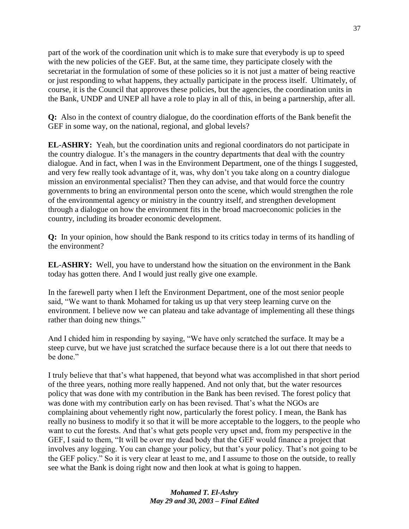part of the work of the coordination unit which is to make sure that everybody is up to speed with the new policies of the GEF. But, at the same time, they participate closely with the secretariat in the formulation of some of these policies so it is not just a matter of being reactive or just responding to what happens, they actually participate in the process itself. Ultimately, of course, it is the Council that approves these policies, but the agencies, the coordination units in the Bank, UNDP and UNEP all have a role to play in all of this, in being a partnership, after all.

**Q:** Also in the context of country dialogue, do the coordination efforts of the Bank benefit the GEF in some way, on the national, regional, and global levels?

**EL-ASHRY:** Yeah, but the coordination units and regional coordinators do not participate in the country dialogue. It's the managers in the country departments that deal with the country dialogue. And in fact, when I was in the Environment Department, one of the things I suggested, and very few really took advantage of it, was, why don't you take along on a country dialogue mission an environmental specialist? Then they can advise, and that would force the country governments to bring an environmental person onto the scene, which would strengthen the role of the environmental agency or ministry in the country itself, and strengthen development through a dialogue on how the environment fits in the broad macroeconomic policies in the country, including its broader economic development.

**Q:** In your opinion, how should the Bank respond to its critics today in terms of its handling of the environment?

**EL-ASHRY:** Well, you have to understand how the situation on the environment in the Bank today has gotten there. And I would just really give one example.

In the farewell party when I left the Environment Department, one of the most senior people said, "We want to thank Mohamed for taking us up that very steep learning curve on the environment. I believe now we can plateau and take advantage of implementing all these things rather than doing new things."

And I chided him in responding by saying, "We have only scratched the surface. It may be a steep curve, but we have just scratched the surface because there is a lot out there that needs to be done."

I truly believe that that's what happened, that beyond what was accomplished in that short period of the three years, nothing more really happened. And not only that, but the water resources policy that was done with my contribution in the Bank has been revised. The forest policy that was done with my contribution early on has been revised. That's what the NGOs are complaining about vehemently right now, particularly the forest policy. I mean, the Bank has really no business to modify it so that it will be more acceptable to the loggers, to the people who want to cut the forests. And that's what gets people very upset and, from my perspective in the GEF, I said to them, "It will be over my dead body that the GEF would finance a project that involves any logging. You can change your policy, but that's your policy. That's not going to be the GEF policy." So it is very clear at least to me, and I assume to those on the outside, to really see what the Bank is doing right now and then look at what is going to happen.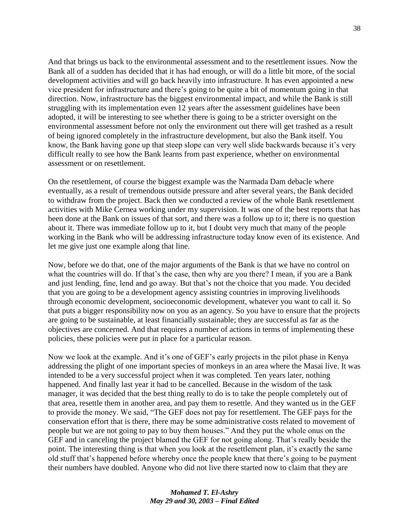And that brings us back to the environmental assessment and to the resettlement issues. Now the Bank all of a sudden has decided that it has had enough, or will do a little bit more, of the social development activities and will go back heavily into infrastructure. It has even appointed a new vice president for infrastructure and there's going to be quite a bit of momentum going in that direction. Now, infrastructure has the biggest environmental impact, and while the Bank is still struggling with its implementation even 12 years after the assessment guidelines have been adopted, it will be interesting to see whether there is going to be a stricter oversight on the environmental assessment before not only the environment out there will get trashed as a result of being ignored completely in the infrastructure development, but also the Bank itself. You know, the Bank having gone up that steep slope can very well slide backwards because it's very difficult really to see how the Bank learns from past experience, whether on environmental assessment or on resettlement.

On the resettlement, of course the biggest example was the Narmada Dam debacle where eventually, as a result of tremendous outside pressure and after several years, the Bank decided to withdraw from the project. Back then we conducted a review of the whole Bank resettlement activities with Mike Cernea working under my supervision. It was one of the best reports that has been done at the Bank on issues of that sort, and there was a follow up to it; there is no question about it. There was immediate follow up to it, but I doubt very much that many of the people working in the Bank who will be addressing infrastructure today know even of its existence. And let me give just one example along that line.

Now, before we do that, one of the major arguments of the Bank is that we have no control on what the countries will do. If that's the case, then why are you there? I mean, if you are a Bank and just lending, fine, lend and go away. But that's not the choice that you made. You decided that you are going to be a development agency assisting countries in improving livelihoods through economic development, socioeconomic development, whatever you want to call it. So that puts a bigger responsibility now on you as an agency. So you have to ensure that the projects are going to be sustainable, at least financially sustainable; they are successful as far as the objectives are concerned. And that requires a number of actions in terms of implementing these policies, these policies were put in place for a particular reason.

Now we look at the example. And it's one of GEF's early projects in the pilot phase in Kenya addressing the plight of one important species of monkeys in an area where the Masai live. It was intended to be a very successful project when it was completed. Ten years later, nothing happened. And finally last year it had to be cancelled. Because in the wisdom of the task manager, it was decided that the best thing really to do is to take the people completely out of that area, resettle them in another area, and pay them to resettle. And they wanted us in the GEF to provide the money. We said, "The GEF does not pay for resettlement. The GEF pays for the conservation effort that is there, there may be some administrative costs related to movement of people but we are not going to pay to buy them houses.‖ And they put the whole onus on the GEF and in canceling the project blamed the GEF for not going along. That's really beside the point. The interesting thing is that when you look at the resettlement plan, it's exactly the same old stuff that's happened before whereby once the people knew that there's going to be payment their numbers have doubled. Anyone who did not live there started now to claim that they are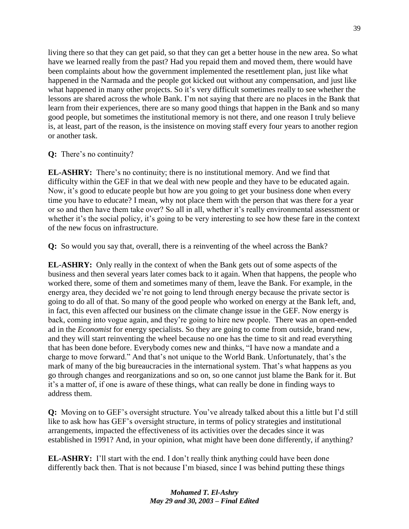living there so that they can get paid, so that they can get a better house in the new area. So what have we learned really from the past? Had you repaid them and moved them, there would have been complaints about how the government implemented the resettlement plan, just like what happened in the Narmada and the people got kicked out without any compensation, and just like what happened in many other projects. So it's very difficult sometimes really to see whether the lessons are shared across the whole Bank. I'm not saying that there are no places in the Bank that learn from their experiences, there are so many good things that happen in the Bank and so many good people, but sometimes the institutional memory is not there, and one reason I truly believe is, at least, part of the reason, is the insistence on moving staff every four years to another region or another task.

# **Q:** There's no continuity?

**EL-ASHRY:** There's no continuity; there is no institutional memory. And we find that difficulty within the GEF in that we deal with new people and they have to be educated again. Now, it's good to educate people but how are you going to get your business done when every time you have to educate? I mean, why not place them with the person that was there for a year or so and then have them take over? So all in all, whether it's really environmental assessment or whether it's the social policy, it's going to be very interesting to see how these fare in the context of the new focus on infrastructure.

**Q:** So would you say that, overall, there is a reinventing of the wheel across the Bank?

**EL-ASHRY:** Only really in the context of when the Bank gets out of some aspects of the business and then several years later comes back to it again. When that happens, the people who worked there, some of them and sometimes many of them, leave the Bank. For example, in the energy area, they decided we're not going to lend through energy because the private sector is going to do all of that. So many of the good people who worked on energy at the Bank left, and, in fact, this even affected our business on the climate change issue in the GEF. Now energy is back, coming into vogue again, and they're going to hire new people. There was an open-ended ad in the *Economist* for energy specialists. So they are going to come from outside, brand new, and they will start reinventing the wheel because no one has the time to sit and read everything that has been done before. Everybody comes new and thinks, "I have now a mandate and a charge to move forward." And that's not unique to the World Bank. Unfortunately, that's the mark of many of the big bureaucracies in the international system. That's what happens as you go through changes and reorganizations and so on, so one cannot just blame the Bank for it. But it's a matter of, if one is aware of these things, what can really be done in finding ways to address them.

**Q:** Moving on to GEF's oversight structure. You've already talked about this a little but I'd still like to ask how has GEF's oversight structure, in terms of policy strategies and institutional arrangements, impacted the effectiveness of its activities over the decades since it was established in 1991? And, in your opinion, what might have been done differently, if anything?

**EL-ASHRY:** I'll start with the end. I don't really think anything could have been done differently back then. That is not because I'm biased, since I was behind putting these things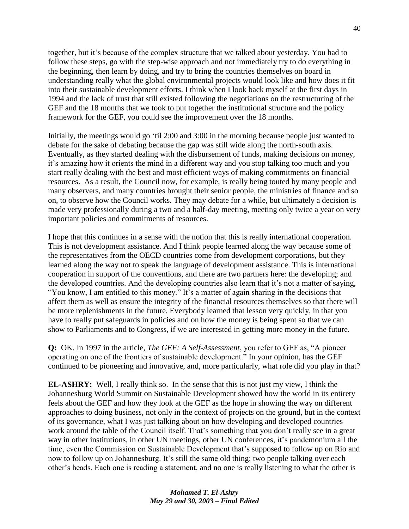together, but it's because of the complex structure that we talked about yesterday. You had to follow these steps, go with the step-wise approach and not immediately try to do everything in the beginning, then learn by doing, and try to bring the countries themselves on board in understanding really what the global environmental projects would look like and how does it fit into their sustainable development efforts. I think when I look back myself at the first days in 1994 and the lack of trust that still existed following the negotiations on the restructuring of the GEF and the 18 months that we took to put together the institutional structure and the policy framework for the GEF, you could see the improvement over the 18 months.

Initially, the meetings would go 'til 2:00 and 3:00 in the morning because people just wanted to debate for the sake of debating because the gap was still wide along the north-south axis. Eventually, as they started dealing with the disbursement of funds, making decisions on money, it's amazing how it orients the mind in a different way and you stop talking too much and you start really dealing with the best and most efficient ways of making commitments on financial resources. As a result, the Council now, for example, is really being touted by many people and many observers, and many countries brought their senior people, the ministries of finance and so on, to observe how the Council works. They may debate for a while, but ultimately a decision is made very professionally during a two and a half-day meeting, meeting only twice a year on very important policies and commitments of resources.

I hope that this continues in a sense with the notion that this is really international cooperation. This is not development assistance. And I think people learned along the way because some of the representatives from the OECD countries come from development corporations, but they learned along the way not to speak the language of development assistance. This is international cooperation in support of the conventions, and there are two partners here: the developing; and the developed countries. And the developing countries also learn that it's not a matter of saying, "You know, I am entitled to this money." It's a matter of again sharing in the decisions that affect them as well as ensure the integrity of the financial resources themselves so that there will be more replenishments in the future. Everybody learned that lesson very quickly, in that you have to really put safeguards in policies and on how the money is being spent so that we can show to Parliaments and to Congress, if we are interested in getting more money in the future.

**Q:** OK. In 1997 in the article, *The GEF: A Self-Assessment*, you refer to GEF as, "A pioneer" operating on one of the frontiers of sustainable development." In your opinion, has the GEF continued to be pioneering and innovative, and, more particularly, what role did you play in that?

**EL-ASHRY:** Well, I really think so. In the sense that this is not just my view, I think the Johannesburg World Summit on Sustainable Development showed how the world in its entirety feels about the GEF and how they look at the GEF as the hope in showing the way on different approaches to doing business, not only in the context of projects on the ground, but in the context of its governance, what I was just talking about on how developing and developed countries work around the table of the Council itself. That's something that you don't really see in a great way in other institutions, in other UN meetings, other UN conferences, it's pandemonium all the time, even the Commission on Sustainable Development that's supposed to follow up on Rio and now to follow up on Johannesburg. It's still the same old thing: two people talking over each other's heads. Each one is reading a statement, and no one is really listening to what the other is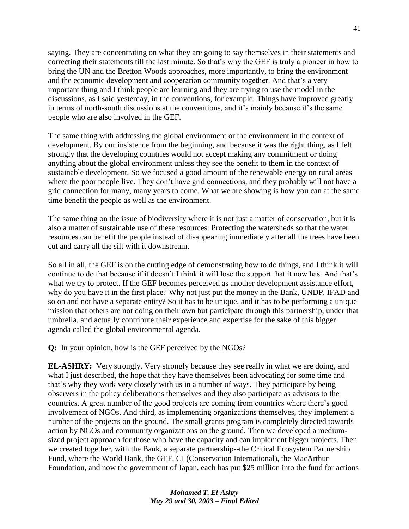saying. They are concentrating on what they are going to say themselves in their statements and correcting their statements till the last minute. So that's why the GEF is truly a pioneer in how to bring the UN and the Bretton Woods approaches, more importantly, to bring the environment and the economic development and cooperation community together. And that's a very important thing and I think people are learning and they are trying to use the model in the discussions, as I said yesterday, in the conventions, for example. Things have improved greatly in terms of north-south discussions at the conventions, and it's mainly because it's the same people who are also involved in the GEF.

The same thing with addressing the global environment or the environment in the context of development. By our insistence from the beginning, and because it was the right thing, as I felt strongly that the developing countries would not accept making any commitment or doing anything about the global environment unless they see the benefit to them in the context of sustainable development. So we focused a good amount of the renewable energy on rural areas where the poor people live. They don't have grid connections, and they probably will not have a grid connection for many, many years to come. What we are showing is how you can at the same time benefit the people as well as the environment.

The same thing on the issue of biodiversity where it is not just a matter of conservation, but it is also a matter of sustainable use of these resources. Protecting the watersheds so that the water resources can benefit the people instead of disappearing immediately after all the trees have been cut and carry all the silt with it downstream.

So all in all, the GEF is on the cutting edge of demonstrating how to do things, and I think it will continue to do that because if it doesn't I think it will lose the support that it now has. And that's what we try to protect. If the GEF becomes perceived as another development assistance effort, why do you have it in the first place? Why not just put the money in the Bank, UNDP, IFAD and so on and not have a separate entity? So it has to be unique, and it has to be performing a unique mission that others are not doing on their own but participate through this partnership, under that umbrella, and actually contribute their experience and expertise for the sake of this bigger agenda called the global environmental agenda.

**Q:** In your opinion, how is the GEF perceived by the NGOs?

**EL-ASHRY:** Very strongly. Very strongly because they see really in what we are doing, and what I just described, the hope that they have themselves been advocating for some time and that's why they work very closely with us in a number of ways. They participate by being observers in the policy deliberations themselves and they also participate as advisors to the countries. A great number of the good projects are coming from countries where there's good involvement of NGOs. And third, as implementing organizations themselves, they implement a number of the projects on the ground. The small grants program is completely directed towards action by NGOs and community organizations on the ground. Then we developed a mediumsized project approach for those who have the capacity and can implement bigger projects. Then we created together, with the Bank, a separate partnership--the Critical Ecosystem Partnership Fund, where the World Bank, the GEF, CI (Conservation International), the MacArthur Foundation, and now the government of Japan, each has put \$25 million into the fund for actions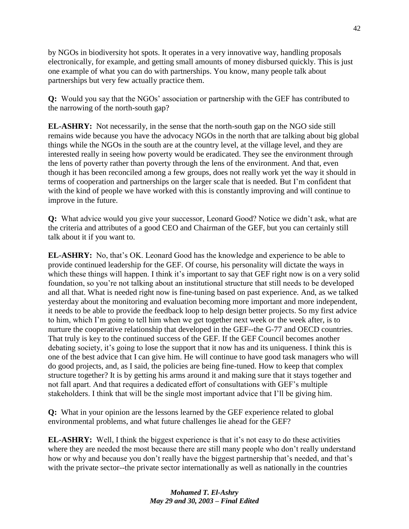by NGOs in biodiversity hot spots. It operates in a very innovative way, handling proposals electronically, for example, and getting small amounts of money disbursed quickly. This is just one example of what you can do with partnerships. You know, many people talk about partnerships but very few actually practice them.

**Q:** Would you say that the NGOs' association or partnership with the GEF has contributed to the narrowing of the north-south gap?

**EL-ASHRY:** Not necessarily, in the sense that the north-south gap on the NGO side still remains wide because you have the advocacy NGOs in the north that are talking about big global things while the NGOs in the south are at the country level, at the village level, and they are interested really in seeing how poverty would be eradicated. They see the environment through the lens of poverty rather than poverty through the lens of the environment. And that, even though it has been reconciled among a few groups, does not really work yet the way it should in terms of cooperation and partnerships on the larger scale that is needed. But I'm confident that with the kind of people we have worked with this is constantly improving and will continue to improve in the future.

**Q:** What advice would you give your successor, Leonard Good? Notice we didn't ask, what are the criteria and attributes of a good CEO and Chairman of the GEF, but you can certainly still talk about it if you want to.

**EL-ASHRY:** No, that's OK. Leonard Good has the knowledge and experience to be able to provide continued leadership for the GEF. Of course, his personality will dictate the ways in which these things will happen. I think it's important to say that GEF right now is on a very solid foundation, so you're not talking about an institutional structure that still needs to be developed and all that. What is needed right now is fine-tuning based on past experience. And, as we talked yesterday about the monitoring and evaluation becoming more important and more independent, it needs to be able to provide the feedback loop to help design better projects. So my first advice to him, which I'm going to tell him when we get together next week or the week after, is to nurture the cooperative relationship that developed in the GEF--the G-77 and OECD countries. That truly is key to the continued success of the GEF. If the GEF Council becomes another debating society, it's going to lose the support that it now has and its uniqueness. I think this is one of the best advice that I can give him. He will continue to have good task managers who will do good projects, and, as I said, the policies are being fine-tuned. How to keep that complex structure together? It is by getting his arms around it and making sure that it stays together and not fall apart. And that requires a dedicated effort of consultations with GEF's multiple stakeholders. I think that will be the single most important advice that I'll be giving him.

**Q:** What in your opinion are the lessons learned by the GEF experience related to global environmental problems, and what future challenges lie ahead for the GEF?

**EL-ASHRY:** Well, I think the biggest experience is that it's not easy to do these activities where they are needed the most because there are still many people who don't really understand how or why and because you don't really have the biggest partnership that's needed, and that's with the private sector--the private sector internationally as well as nationally in the countries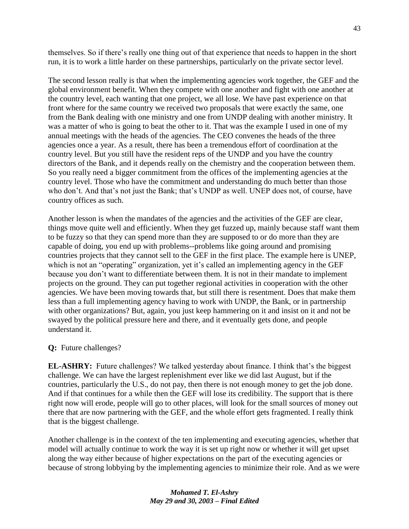themselves. So if there's really one thing out of that experience that needs to happen in the short run, it is to work a little harder on these partnerships, particularly on the private sector level.

The second lesson really is that when the implementing agencies work together, the GEF and the global environment benefit. When they compete with one another and fight with one another at the country level, each wanting that one project, we all lose. We have past experience on that front where for the same country we received two proposals that were exactly the same, one from the Bank dealing with one ministry and one from UNDP dealing with another ministry. It was a matter of who is going to beat the other to it. That was the example I used in one of my annual meetings with the heads of the agencies. The CEO convenes the heads of the three agencies once a year. As a result, there has been a tremendous effort of coordination at the country level. But you still have the resident reps of the UNDP and you have the country directors of the Bank, and it depends really on the chemistry and the cooperation between them. So you really need a bigger commitment from the offices of the implementing agencies at the country level. Those who have the commitment and understanding do much better than those who don't. And that's not just the Bank; that's UNDP as well. UNEP does not, of course, have country offices as such.

Another lesson is when the mandates of the agencies and the activities of the GEF are clear, things move quite well and efficiently. When they get fuzzed up, mainly because staff want them to be fuzzy so that they can spend more than they are supposed to or do more than they are capable of doing, you end up with problems--problems like going around and promising countries projects that they cannot sell to the GEF in the first place. The example here is UNEP, which is not an "operating" organization, yet it's called an implementing agency in the GEF because you don't want to differentiate between them. It is not in their mandate to implement projects on the ground. They can put together regional activities in cooperation with the other agencies. We have been moving towards that, but still there is resentment. Does that make them less than a full implementing agency having to work with UNDP, the Bank, or in partnership with other organizations? But, again, you just keep hammering on it and insist on it and not be swayed by the political pressure here and there, and it eventually gets done, and people understand it.

#### **Q:** Future challenges?

**EL-ASHRY:** Future challenges? We talked yesterday about finance. I think that's the biggest challenge. We can have the largest replenishment ever like we did last August, but if the countries, particularly the U.S., do not pay, then there is not enough money to get the job done. And if that continues for a while then the GEF will lose its credibility. The support that is there right now will erode, people will go to other places, will look for the small sources of money out there that are now partnering with the GEF, and the whole effort gets fragmented. I really think that is the biggest challenge.

Another challenge is in the context of the ten implementing and executing agencies, whether that model will actually continue to work the way it is set up right now or whether it will get upset along the way either because of higher expectations on the part of the executing agencies or because of strong lobbying by the implementing agencies to minimize their role. And as we were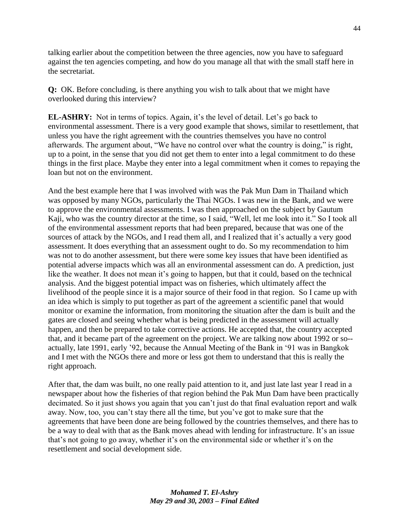talking earlier about the competition between the three agencies, now you have to safeguard against the ten agencies competing, and how do you manage all that with the small staff here in the secretariat.

**Q:** OK. Before concluding, is there anything you wish to talk about that we might have overlooked during this interview?

**EL-ASHRY:** Not in terms of topics. Again, it's the level of detail. Let's go back to environmental assessment. There is a very good example that shows, similar to resettlement, that unless you have the right agreement with the countries themselves you have no control afterwards. The argument about, "We have no control over what the country is doing," is right, up to a point, in the sense that you did not get them to enter into a legal commitment to do these things in the first place. Maybe they enter into a legal commitment when it comes to repaying the loan but not on the environment.

And the best example here that I was involved with was the Pak Mun Dam in Thailand which was opposed by many NGOs, particularly the Thai NGOs. I was new in the Bank, and we were to approve the environmental assessments. I was then approached on the subject by Gautum Kaji, who was the country director at the time, so I said, "Well, let me look into it." So I took all of the environmental assessment reports that had been prepared, because that was one of the sources of attack by the NGOs, and I read them all, and I realized that it's actually a very good assessment. It does everything that an assessment ought to do. So my recommendation to him was not to do another assessment, but there were some key issues that have been identified as potential adverse impacts which was all an environmental assessment can do. A prediction, just like the weather. It does not mean it's going to happen, but that it could, based on the technical analysis. And the biggest potential impact was on fisheries, which ultimately affect the livelihood of the people since it is a major source of their food in that region. So I came up with an idea which is simply to put together as part of the agreement a scientific panel that would monitor or examine the information, from monitoring the situation after the dam is built and the gates are closed and seeing whether what is being predicted in the assessment will actually happen, and then be prepared to take corrective actions. He accepted that, the country accepted that, and it became part of the agreement on the project. We are talking now about 1992 or so- actually, late 1991, early '92, because the Annual Meeting of the Bank in ‗91 was in Bangkok and I met with the NGOs there and more or less got them to understand that this is really the right approach.

After that, the dam was built, no one really paid attention to it, and just late last year I read in a newspaper about how the fisheries of that region behind the Pak Mun Dam have been practically decimated. So it just shows you again that you can't just do that final evaluation report and walk away. Now, too, you can't stay there all the time, but you've got to make sure that the agreements that have been done are being followed by the countries themselves, and there has to be a way to deal with that as the Bank moves ahead with lending for infrastructure. It's an issue that's not going to go away, whether it's on the environmental side or whether it's on the resettlement and social development side.